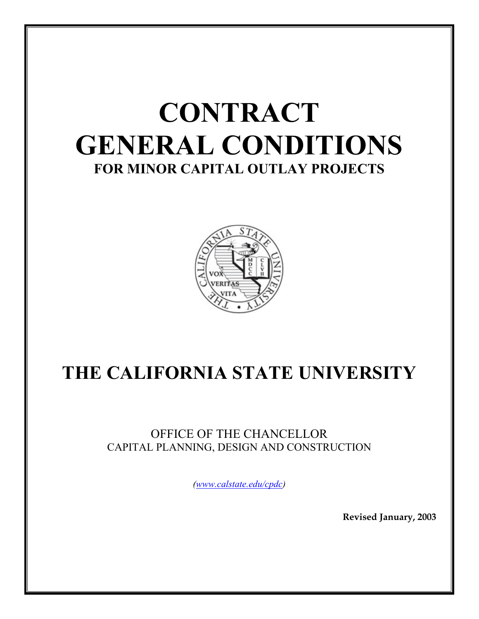

# **THE CALIFORNIA STATE UNIVERSITY**

OFFICE OF THE CHANCELLOR CAPITAL PLANNING, DESIGN AND CONSTRUCTION

*([www.calstate.edu/cpdc](http://www.calstate.edu/cpdc))* 

**Revised January, 2003**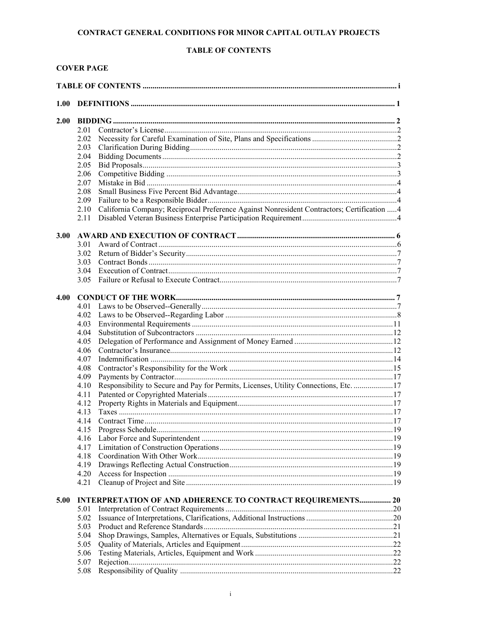# **TABLE OF CONTENTS**

# **COVER PAGE**

| 1.00 |              |                                                                                             |  |  |  |  |
|------|--------------|---------------------------------------------------------------------------------------------|--|--|--|--|
| 2.00 |              |                                                                                             |  |  |  |  |
|      | 2.01         |                                                                                             |  |  |  |  |
|      | 2.02         |                                                                                             |  |  |  |  |
|      | 2.03         |                                                                                             |  |  |  |  |
|      | 2.04         |                                                                                             |  |  |  |  |
|      | 2.05         |                                                                                             |  |  |  |  |
|      | 2.06         |                                                                                             |  |  |  |  |
|      | 2.07         |                                                                                             |  |  |  |  |
|      | 2.08         |                                                                                             |  |  |  |  |
|      | 2.09         |                                                                                             |  |  |  |  |
|      | 2.10         | California Company; Reciprocal Preference Against Nonresident Contractors; Certification  4 |  |  |  |  |
|      | 2.11         |                                                                                             |  |  |  |  |
| 3.00 |              |                                                                                             |  |  |  |  |
|      | 3.01         |                                                                                             |  |  |  |  |
|      | 3.02         |                                                                                             |  |  |  |  |
|      | 3.03         |                                                                                             |  |  |  |  |
|      | 3.04         |                                                                                             |  |  |  |  |
|      | 3.05         |                                                                                             |  |  |  |  |
| 4.00 |              |                                                                                             |  |  |  |  |
|      | 4.01         |                                                                                             |  |  |  |  |
|      | 4.02         |                                                                                             |  |  |  |  |
|      | 4.03         |                                                                                             |  |  |  |  |
|      | 4.04         |                                                                                             |  |  |  |  |
|      | 4.05         |                                                                                             |  |  |  |  |
|      | 4.06         |                                                                                             |  |  |  |  |
|      | 4.07         |                                                                                             |  |  |  |  |
|      | 4.08         |                                                                                             |  |  |  |  |
|      | 4.09         |                                                                                             |  |  |  |  |
|      | 4.10         | Responsibility to Secure and Pay for Permits, Licenses, Utility Connections, Etc. 17        |  |  |  |  |
|      | 4.11         |                                                                                             |  |  |  |  |
|      | 4.12         |                                                                                             |  |  |  |  |
|      | 4.13         |                                                                                             |  |  |  |  |
|      | 4.14         |                                                                                             |  |  |  |  |
|      | 4.15         |                                                                                             |  |  |  |  |
|      | 4.16         |                                                                                             |  |  |  |  |
|      | 4.17         |                                                                                             |  |  |  |  |
|      | 4.18         |                                                                                             |  |  |  |  |
|      | 4.19         |                                                                                             |  |  |  |  |
|      | 4.20<br>4.21 |                                                                                             |  |  |  |  |
| 5.00 |              | <b>INTERPRETATION OF AND ADHERENCE TO CONTRACT REQUIREMENTS 20</b>                          |  |  |  |  |
|      | 5.01         |                                                                                             |  |  |  |  |
|      | 5.02         |                                                                                             |  |  |  |  |
|      | 5.03         |                                                                                             |  |  |  |  |
|      | 5.04         |                                                                                             |  |  |  |  |
|      | 5.05         |                                                                                             |  |  |  |  |
|      | 5.06         |                                                                                             |  |  |  |  |
|      | 5.07         |                                                                                             |  |  |  |  |
|      | 5.08         |                                                                                             |  |  |  |  |
|      |              |                                                                                             |  |  |  |  |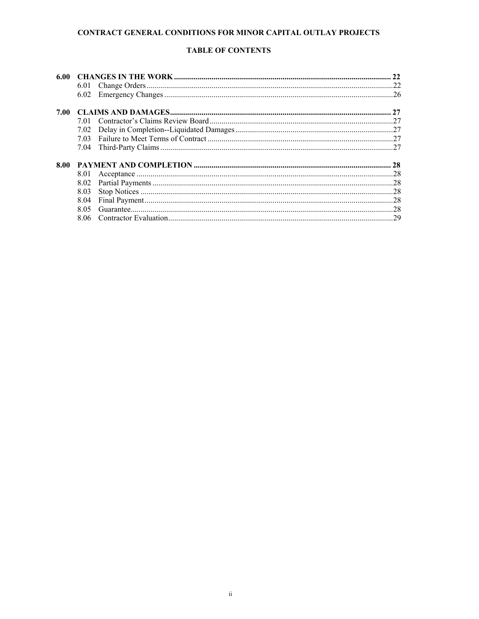# **TABLE OF CONTENTS**

| 6.00 |      |  | 22  |
|------|------|--|-----|
|      | 6.01 |  | 22  |
|      | 6.02 |  | 26  |
| 7.00 |      |  | 27  |
|      | 701  |  |     |
|      | 7.02 |  |     |
|      |      |  |     |
|      |      |  | 27  |
| 8.00 |      |  | 28  |
|      | 8.01 |  | .28 |
|      |      |  | .28 |
|      | 8.03 |  | .28 |
|      | 8.04 |  | .28 |
|      | 8.05 |  | .28 |
|      | 8.06 |  | 29  |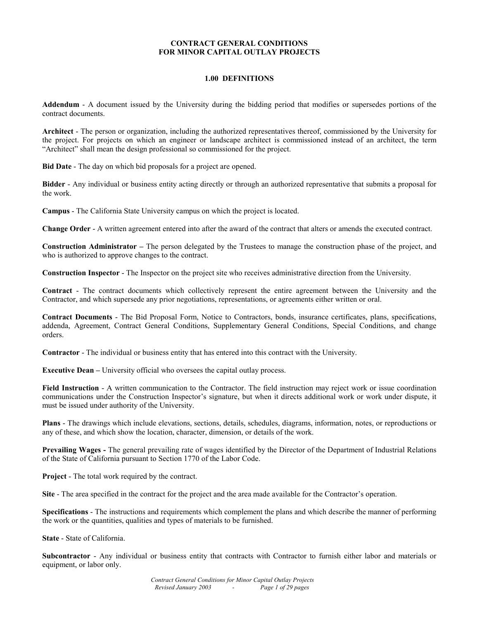#### **1.00 DEFINITIONS**

**Addendum** - A document issued by the University during the bidding period that modifies or supersedes portions of the contract documents.

**Architect** - The person or organization, including the authorized representatives thereof, commissioned by the University for the project. For projects on which an engineer or landscape architect is commissioned instead of an architect, the term "Architect" shall mean the design professional so commissioned for the project.

**Bid Date** - The day on which bid proposals for a project are opened.

**Bidder** - Any individual or business entity acting directly or through an authorized representative that submits a proposal for the work.

**Campus** - The California State University campus on which the project is located.

**Change Order** - A written agreement entered into after the award of the contract that alters or amends the executed contract.

**Construction Administrator –** The person delegated by the Trustees to manage the construction phase of the project, and who is authorized to approve changes to the contract.

**Construction Inspector** - The Inspector on the project site who receives administrative direction from the University.

**Contract** - The contract documents which collectively represent the entire agreement between the University and the Contractor, and which supersede any prior negotiations, representations, or agreements either written or oral.

**Contract Documents** - The Bid Proposal Form, Notice to Contractors, bonds, insurance certificates, plans, specifications, addenda, Agreement, Contract General Conditions, Supplementary General Conditions, Special Conditions, and change orders.

**Contractor** - The individual or business entity that has entered into this contract with the University.

**Executive Dean –** University official who oversees the capital outlay process.

**Field Instruction** - A written communication to the Contractor. The field instruction may reject work or issue coordination communications under the Construction Inspector's signature, but when it directs additional work or work under dispute, it must be issued under authority of the University.

**Plans** - The drawings which include elevations, sections, details, schedules, diagrams, information, notes, or reproductions or any of these, and which show the location, character, dimension, or details of the work.

**Prevailing Wages -** The general prevailing rate of wages identified by the Director of the Department of Industrial Relations of the State of California pursuant to Section 1770 of the Labor Code.

**Project** - The total work required by the contract.

**Site** - The area specified in the contract for the project and the area made available for the Contractor's operation.

**Specifications** - The instructions and requirements which complement the plans and which describe the manner of performing the work or the quantities, qualities and types of materials to be furnished.

**State** - State of California.

**Subcontractor** - Any individual or business entity that contracts with Contractor to furnish either labor and materials or equipment, or labor only.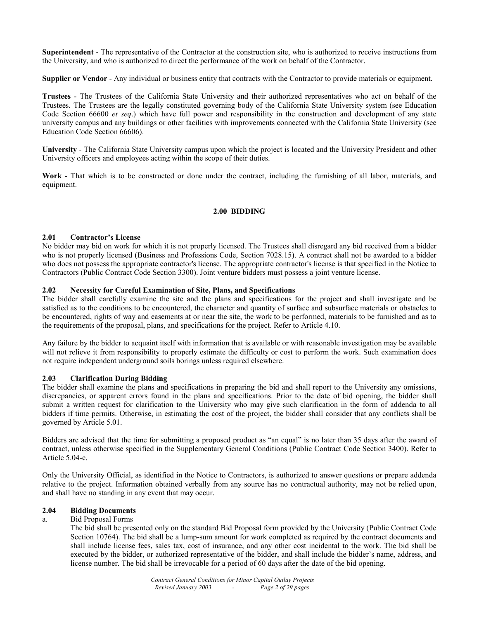**Superintendent** - The representative of the Contractor at the construction site, who is authorized to receive instructions from the University, and who is authorized to direct the performance of the work on behalf of the Contractor.

**Supplier or Vendor** - Any individual or business entity that contracts with the Contractor to provide materials or equipment.

**Trustees** - The Trustees of the California State University and their authorized representatives who act on behalf of the Trustees. The Trustees are the legally constituted governing body of the California State University system (see Education Code Section 66600 *et seq*.) which have full power and responsibility in the construction and development of any state university campus and any buildings or other facilities with improvements connected with the California State University (see Education Code Section 66606).

**University** - The California State University campus upon which the project is located and the University President and other University officers and employees acting within the scope of their duties.

**Work** - That which is to be constructed or done under the contract, including the furnishing of all labor, materials, and equipment.

# **2.00 BIDDING**

#### **2.01 Contractor's License**

No bidder may bid on work for which it is not properly licensed. The Trustees shall disregard any bid received from a bidder who is not properly licensed (Business and Professions Code, Section 7028.15). A contract shall not be awarded to a bidder who does not possess the appropriate contractor's license. The appropriate contractor's license is that specified in the Notice to Contractors (Public Contract Code Section 3300). Joint venture bidders must possess a joint venture license.

#### **2.02 Necessity for Careful Examination of Site, Plans, and Specifications**

The bidder shall carefully examine the site and the plans and specifications for the project and shall investigate and be satisfied as to the conditions to be encountered, the character and quantity of surface and subsurface materials or obstacles to be encountered, rights of way and easements at or near the site, the work to be performed, materials to be furnished and as to the requirements of the proposal, plans, and specifications for the project. Refer to Article 4.10.

Any failure by the bidder to acquaint itself with information that is available or with reasonable investigation may be available will not relieve it from responsibility to properly estimate the difficulty or cost to perform the work. Such examination does not require independent underground soils borings unless required elsewhere.

#### **2.03 Clarification During Bidding**

The bidder shall examine the plans and specifications in preparing the bid and shall report to the University any omissions, discrepancies, or apparent errors found in the plans and specifications. Prior to the date of bid opening, the bidder shall submit a written request for clarification to the University who may give such clarification in the form of addenda to all bidders if time permits. Otherwise, in estimating the cost of the project, the bidder shall consider that any conflicts shall be governed by Article 5.01.

Bidders are advised that the time for submitting a proposed product as "an equal" is no later than 35 days after the award of contract, unless otherwise specified in the Supplementary General Conditions (Public Contract Code Section 3400). Refer to Article 5.04-c.

Only the University Official, as identified in the Notice to Contractors, is authorized to answer questions or prepare addenda relative to the project. Information obtained verbally from any source has no contractual authority, may not be relied upon, and shall have no standing in any event that may occur.

#### **2.04 Bidding Documents**

#### a. Bid Proposal Forms

 The bid shall be presented only on the standard Bid Proposal form provided by the University (Public Contract Code Section 10764). The bid shall be a lump-sum amount for work completed as required by the contract documents and shall include license fees, sales tax, cost of insurance, and any other cost incidental to the work. The bid shall be executed by the bidder, or authorized representative of the bidder, and shall include the bidder's name, address, and license number. The bid shall be irrevocable for a period of 60 days after the date of the bid opening.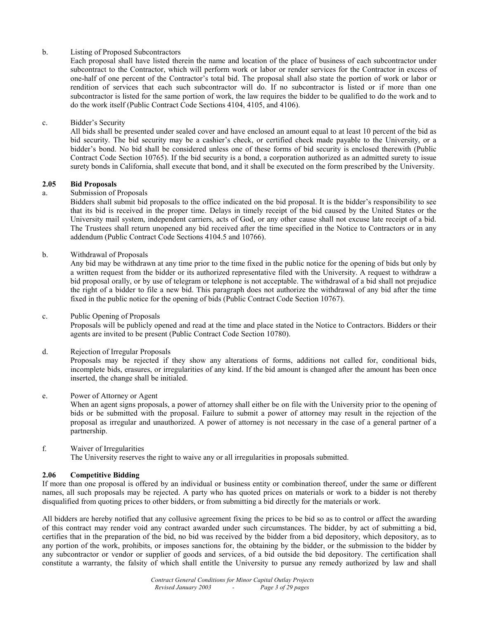# b. Listing of Proposed Subcontractors

 Each proposal shall have listed therein the name and location of the place of business of each subcontractor under subcontract to the Contractor, which will perform work or labor or render services for the Contractor in excess of one-half of one percent of the Contractor's total bid. The proposal shall also state the portion of work or labor or rendition of services that each such subcontractor will do. If no subcontractor is listed or if more than one subcontractor is listed for the same portion of work, the law requires the bidder to be qualified to do the work and to do the work itself (Public Contract Code Sections 4104, 4105, and 4106).

#### c. Bidder's Security

 All bids shall be presented under sealed cover and have enclosed an amount equal to at least 10 percent of the bid as bid security. The bid security may be a cashier's check, or certified check made payable to the University, or a bidder's bond. No bid shall be considered unless one of these forms of bid security is enclosed therewith (Public Contract Code Section 10765). If the bid security is a bond, a corporation authorized as an admitted surety to issue surety bonds in California, shall execute that bond, and it shall be executed on the form prescribed by the University.

#### **2.05 Bid Proposals**

# a. Submission of Proposals

 Bidders shall submit bid proposals to the office indicated on the bid proposal. It is the bidder's responsibility to see that its bid is received in the proper time. Delays in timely receipt of the bid caused by the United States or the University mail system, independent carriers, acts of God, or any other cause shall not excuse late receipt of a bid. The Trustees shall return unopened any bid received after the time specified in the Notice to Contractors or in any addendum (Public Contract Code Sections 4104.5 and 10766).

#### b. Withdrawal of Proposals

 Any bid may be withdrawn at any time prior to the time fixed in the public notice for the opening of bids but only by a written request from the bidder or its authorized representative filed with the University. A request to withdraw a bid proposal orally, or by use of telegram or telephone is not acceptable. The withdrawal of a bid shall not prejudice the right of a bidder to file a new bid. This paragraph does not authorize the withdrawal of any bid after the time fixed in the public notice for the opening of bids (Public Contract Code Section 10767).

#### c. Public Opening of Proposals

 Proposals will be publicly opened and read at the time and place stated in the Notice to Contractors. Bidders or their agents are invited to be present (Public Contract Code Section 10780).

# d. Rejection of Irregular Proposals

 Proposals may be rejected if they show any alterations of forms, additions not called for, conditional bids, incomplete bids, erasures, or irregularities of any kind. If the bid amount is changed after the amount has been once inserted, the change shall be initialed.

#### e. Power of Attorney or Agent

 When an agent signs proposals, a power of attorney shall either be on file with the University prior to the opening of bids or be submitted with the proposal. Failure to submit a power of attorney may result in the rejection of the proposal as irregular and unauthorized. A power of attorney is not necessary in the case of a general partner of a partnership.

#### f. Waiver of Irregularities

The University reserves the right to waive any or all irregularities in proposals submitted.

# **2.06 Competitive Bidding**

If more than one proposal is offered by an individual or business entity or combination thereof, under the same or different names, all such proposals may be rejected. A party who has quoted prices on materials or work to a bidder is not thereby disqualified from quoting prices to other bidders, or from submitting a bid directly for the materials or work.

All bidders are hereby notified that any collusive agreement fixing the prices to be bid so as to control or affect the awarding of this contract may render void any contract awarded under such circumstances. The bidder, by act of submitting a bid, certifies that in the preparation of the bid, no bid was received by the bidder from a bid depository, which depository, as to any portion of the work, prohibits, or imposes sanctions for, the obtaining by the bidder, or the submission to the bidder by any subcontractor or vendor or supplier of goods and services, of a bid outside the bid depository. The certification shall constitute a warranty, the falsity of which shall entitle the University to pursue any remedy authorized by law and shall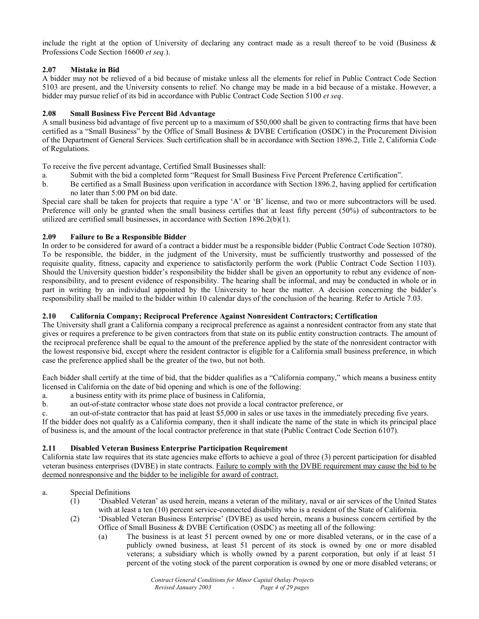include the right at the option of University of declaring any contract made as a result thereof to be void (Business & Professions Code Section 16600 *et seq.*).

# **2.07 Mistake in Bid**

A bidder may not be relieved of a bid because of mistake unless all the elements for relief in Public Contract Code Section 5103 are present, and the University consents to relief. No change may be made in a bid because of a mistake. However, a bidder may pursue relief of its bid in accordance with Public Contract Code Section 5100 *et seq*.

# **2.08 Small Business Five Percent Bid Advantage**

A small business bid advantage of five percent up to a maximum of \$50,000 shall be given to contracting firms that have been certified as a "Small Business" by the Office of Small Business & DVBE Certification (OSDC) in the Procurement Division of the Department of General Services. Such certification shall be in accordance with Section 1896.2, Title 2, California Code of Regulations.

To receive the five percent advantage, Certified Small Businesses shall:

- a. Submit with the bid a completed form "Request for Small Business Five Percent Preference Certification".
- b. Be certified as a Small Business upon verification in accordance with Section 1896.2, having applied for certification no later than 5:00 PM on bid date.

Special care shall be taken for projects that require a type 'A' or 'B' license, and two or more subcontractors will be used. Preference will only be granted when the small business certifies that at least fifty percent (50%) of subcontractors to be utilized are certified small businesses, in accordance with Section 1896.2(b)(1).

# **2.09 Failure to Be a Responsible Bidder**

In order to be considered for award of a contract a bidder must be a responsible bidder (Public Contract Code Section 10780). To be responsible, the bidder, in the judgment of the University, must be sufficiently trustworthy and possessed of the requisite quality, fitness, capacity and experience to satisfactorily perform the work (Public Contract Code Section 1103). Should the University question bidder's responsibility the bidder shall be given an opportunity to rebut any evidence of nonresponsibility, and to present evidence of responsibility. The hearing shall be informal, and may be conducted in whole or in part in writing by an individual appointed by the University to hear the matter. A decision concerning the bidder's responsibility shall be mailed to the bidder within 10 calendar days of the conclusion of the hearing. Refer to Article 7.03.

# **2.10 California Company; Reciprocal Preference Against Nonresident Contractors; Certification**

The University shall grant a California company a reciprocal preference as against a nonresident contractor from any state that gives or requires a preference to be given contractors from that state on its public entity construction contracts. The amount of the reciprocal preference shall be equal to the amount of the preference applied by the state of the nonresident contractor with the lowest responsive bid, except where the resident contractor is eligible for a California small business preference, in which case the preference applied shall be the greater of the two, but not both.

Each bidder shall certify at the time of bid, that the bidder qualifies as a "California company," which means a business entity licensed in California on the date of bid opening and which is one of the following:

a. a business entity with its prime place of business in California,

b. an out-of-state contractor whose state does not provide a local contractor preference, or

c. an out-of-state contractor that has paid at least \$5,000 in sales or use taxes in the immediately preceding five years. If the bidder does not qualify as a California company, then it shall indicate the name of the state in which its principal place of business is, and the amount of the local contractor preference in that state (Public Contract Code Section 6107).

# **2.11 Disabled Veteran Business Enterprise Participation Requirement**

California state law requires that its state agencies make efforts to achieve a goal of three (3) percent participation for disabled veteran business enterprises (DVBE) in state contracts. Failure to comply with the DVBE requirement may cause the bid to be deemed nonresponsive and the bidder to be ineligible for award of contract.

# a. Special Definitions

- (1) 'Disabled Veteran' as used herein, means a veteran of the military, naval or air services of the United States with at least a ten (10) percent service-connected disability who is a resident of the State of California.
- (2) 'Disabled Veteran Business Enterprise' (DVBE) as used herein, means a business concern certified by the Office of Small Business & DVBE Certification (OSDC) as meeting all of the following:
	- (a) The business is at least 51 percent owned by one or more disabled veterans, or in the case of a publicly owned business, at least 51 percent of its stock is owned by one or more disabled veterans; a subsidiary which is wholly owned by a parent corporation, but only if at least 51 percent of the voting stock of the parent corporation is owned by one or more disabled veterans; or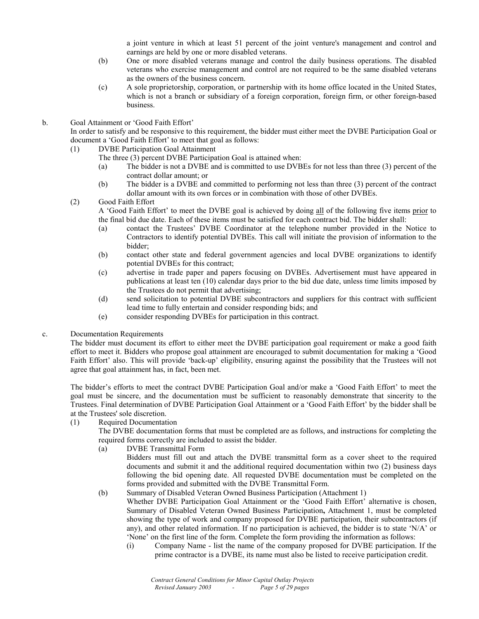a joint venture in which at least 51 percent of the joint venture's management and control and earnings are held by one or more disabled veterans.

- (b) One or more disabled veterans manage and control the daily business operations. The disabled veterans who exercise management and control are not required to be the same disabled veterans as the owners of the business concern.
- (c) A sole proprietorship, corporation, or partnership with its home office located in the United States, which is not a branch or subsidiary of a foreign corporation, foreign firm, or other foreign-based business.
- b. Goal Attainment or 'Good Faith Effort'

 In order to satisfy and be responsive to this requirement, the bidder must either meet the DVBE Participation Goal or document a 'Good Faith Effort' to meet that goal as follows:

- (1) DVBE Participation Goal Attainment
	- The three (3) percent DVBE Participation Goal is attained when:
		- (a) The bidder is not a DVBE and is committed to use DVBEs for not less than three (3) percent of the contract dollar amount; or
		- (b) The bidder is a DVBE and committed to performing not less than three (3) percent of the contract dollar amount with its own forces or in combination with those of other DVBEs.
- (2) Good Faith Effort

A 'Good Faith Effort' to meet the DVBE goal is achieved by doing all of the following five items prior to the final bid due date. Each of these items must be satisfied for each contract bid. The bidder shall:

- (a) contact the Trustees' DVBE Coordinator at the telephone number provided in the Notice to Contractors to identify potential DVBEs. This call will initiate the provision of information to the bidder;
- (b) contact other state and federal government agencies and local DVBE organizations to identify potential DVBEs for this contract;
- (c) advertise in trade paper and papers focusing on DVBEs. Advertisement must have appeared in publications at least ten (10) calendar days prior to the bid due date, unless time limits imposed by the Trustees do not permit that advertising;
- (d) send solicitation to potential DVBE subcontractors and suppliers for this contract with sufficient lead time to fully entertain and consider responding bids; and
- (e) consider responding DVBEs for participation in this contract.
- c. Documentation Requirements

The bidder must document its effort to either meet the DVBE participation goal requirement or make a good faith effort to meet it. Bidders who propose goal attainment are encouraged to submit documentation for making a 'Good Faith Effort' also. This will provide 'back-up' eligibility, ensuring against the possibility that the Trustees will not agree that goal attainment has, in fact, been met.

The bidder's efforts to meet the contract DVBE Participation Goal and/or make a 'Good Faith Effort' to meet the goal must be sincere, and the documentation must be sufficient to reasonably demonstrate that sincerity to the Trustees. Final determination of DVBE Participation Goal Attainment or a 'Good Faith Effort' by the bidder shall be at the Trustees' sole discretion.

(1) Required Documentation

 The DVBE documentation forms that must be completed are as follows, and instructions for completing the required forms correctly are included to assist the bidder.

(a) DVBE Transmittal Form

 Bidders must fill out and attach the DVBE transmittal form as a cover sheet to the required documents and submit it and the additional required documentation within two (2) business days following the bid opening date. All requested DVBE documentation must be completed on the forms provided and submitted with the DVBE Transmittal Form.

(b) Summary of Disabled Veteran Owned Business Participation (Attachment 1)

 Whether DVBE Participation Goal Attainment or the 'Good Faith Effort' alternative is chosen, Summary of Disabled Veteran Owned Business Participation**,** Attachment 1, must be completed showing the type of work and company proposed for DVBE participation, their subcontractors (if any), and other related information. If no participation is achieved, the bidder is to state 'N/A' or 'None' on the first line of the form. Complete the form providing the information as follows:

(i) Company Name - list the name of the company proposed for DVBE participation. If the prime contractor is a DVBE, its name must also be listed to receive participation credit.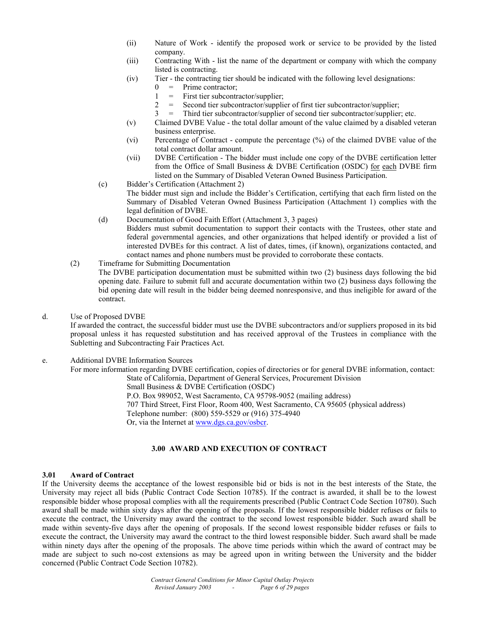- (ii) Nature of Work identify the proposed work or service to be provided by the listed company.
- (iii) Contracting With list the name of the department or company with which the company listed is contracting.
- (iv) Tier the contracting tier should be indicated with the following level designations:
	- $0 =$  Prime contractor;
	- 1 = First tier subcontractor/supplier;
	- 2 = Second tier subcontractor/supplier of first tier subcontractor/supplier;
	- $3 =$  Third tier subcontractor/supplier of second tier subcontractor/supplier; etc.
- (v) Claimed DVBE Value the total dollar amount of the value claimed by a disabled veteran business enterprise.
- (vi) Percentage of Contract compute the percentage (%) of the claimed DVBE value of the total contract dollar amount.
- (vii) DVBE Certification The bidder must include one copy of the DVBE certification letter from the Office of Small Business & DVBE Certification (OSDC) for each DVBE firm listed on the Summary of Disabled Veteran Owned Business Participation.
- (c) Bidder's Certification (Attachment 2) The bidder must sign and include the Bidder's Certification, certifying that each firm listed on the Summary of Disabled Veteran Owned Business Participation (Attachment 1) complies with the legal definition of DVBE.
- (d) Documentation of Good Faith Effort (Attachment 3, 3 pages) Bidders must submit documentation to support their contacts with the Trustees, other state and federal governmental agencies, and other organizations that helped identify or provided a list of interested DVBEs for this contract. A list of dates, times, (if known), organizations contacted, and contact names and phone numbers must be provided to corroborate these contacts.
- (2) Timeframe for Submitting Documentation The DVBE participation documentation must be submitted within two (2) business days following the bid opening date. Failure to submit full and accurate documentation within two (2) business days following the bid opening date will result in the bidder being deemed nonresponsive, and thus ineligible for award of the contract.
- d. Use of Proposed DVBE

 If awarded the contract, the successful bidder must use the DVBE subcontractors and/or suppliers proposed in its bid proposal unless it has requested substitution and has received approval of the Trustees in compliance with the Subletting and Subcontracting Fair Practices Act.

# e. Additional DVBE Information Sources

 For more information regarding DVBE certification, copies of directories or for general DVBE information, contact: State of California, Department of General Services, Procurement Division

Small Business & DVBE Certification (OSDC)

P.O. Box 989052, West Sacramento, CA 95798-9052 (mailing address)

707 Third Street, First Floor, Room 400, West Sacramento, CA 95605 (physical address)

Telephone number: (800) 559-5529 or (916) 375-4940

Or, via the Internet at www.dgs.ca.gov/osbcr.

# **3.00 AWARD AND EXECUTION OF CONTRACT**

#### **3.01 Award of Contract**

If the University deems the acceptance of the lowest responsible bid or bids is not in the best interests of the State, the University may reject all bids (Public Contract Code Section 10785). If the contract is awarded, it shall be to the lowest responsible bidder whose proposal complies with all the requirements prescribed (Public Contract Code Section 10780). Such award shall be made within sixty days after the opening of the proposals. If the lowest responsible bidder refuses or fails to execute the contract, the University may award the contract to the second lowest responsible bidder. Such award shall be made within seventy-five days after the opening of proposals. If the second lowest responsible bidder refuses or fails to execute the contract, the University may award the contract to the third lowest responsible bidder. Such award shall be made within ninety days after the opening of the proposals. The above time periods within which the award of contract may be made are subject to such no-cost extensions as may be agreed upon in writing between the University and the bidder concerned (Public Contract Code Section 10782).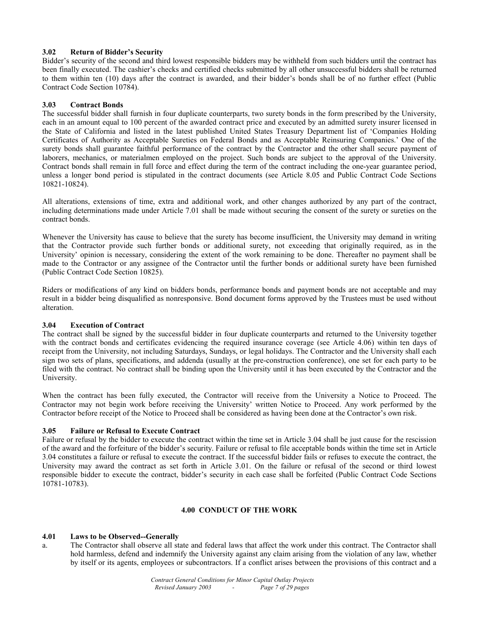# **3.02 Return of Bidder's Security**

Bidder's security of the second and third lowest responsible bidders may be withheld from such bidders until the contract has been finally executed. The cashier's checks and certified checks submitted by all other unsuccessful bidders shall be returned to them within ten (10) days after the contract is awarded, and their bidder's bonds shall be of no further effect (Public Contract Code Section 10784).

#### **3.03 Contract Bonds**

The successful bidder shall furnish in four duplicate counterparts, two surety bonds in the form prescribed by the University, each in an amount equal to 100 percent of the awarded contract price and executed by an admitted surety insurer licensed in the State of California and listed in the latest published United States Treasury Department list of 'Companies Holding Certificates of Authority as Acceptable Sureties on Federal Bonds and as Acceptable Reinsuring Companies.' One of the surety bonds shall guarantee faithful performance of the contract by the Contractor and the other shall secure payment of laborers, mechanics, or materialmen employed on the project. Such bonds are subject to the approval of the University. Contract bonds shall remain in full force and effect during the term of the contract including the one-year guarantee period, unless a longer bond period is stipulated in the contract documents (see Article 8.05 and Public Contract Code Sections 10821-10824).

All alterations, extensions of time, extra and additional work, and other changes authorized by any part of the contract, including determinations made under Article 7.01 shall be made without securing the consent of the surety or sureties on the contract bonds.

Whenever the University has cause to believe that the surety has become insufficient, the University may demand in writing that the Contractor provide such further bonds or additional surety, not exceeding that originally required, as in the University' opinion is necessary, considering the extent of the work remaining to be done. Thereafter no payment shall be made to the Contractor or any assignee of the Contractor until the further bonds or additional surety have been furnished (Public Contract Code Section 10825).

Riders or modifications of any kind on bidders bonds, performance bonds and payment bonds are not acceptable and may result in a bidder being disqualified as nonresponsive. Bond document forms approved by the Trustees must be used without alteration.

#### **3.04 Execution of Contract**

The contract shall be signed by the successful bidder in four duplicate counterparts and returned to the University together with the contract bonds and certificates evidencing the required insurance coverage (see Article 4.06) within ten days of receipt from the University, not including Saturdays, Sundays, or legal holidays. The Contractor and the University shall each sign two sets of plans, specifications, and addenda (usually at the pre-construction conference), one set for each party to be filed with the contract. No contract shall be binding upon the University until it has been executed by the Contractor and the University.

When the contract has been fully executed, the Contractor will receive from the University a Notice to Proceed. The Contractor may not begin work before receiving the University' written Notice to Proceed. Any work performed by the Contractor before receipt of the Notice to Proceed shall be considered as having been done at the Contractor's own risk.

# **3.05 Failure or Refusal to Execute Contract**

Failure or refusal by the bidder to execute the contract within the time set in Article 3.04 shall be just cause for the rescission of the award and the forfeiture of the bidder's security. Failure or refusal to file acceptable bonds within the time set in Article 3.04 constitutes a failure or refusal to execute the contract. If the successful bidder fails or refuses to execute the contract, the University may award the contract as set forth in Article 3.01. On the failure or refusal of the second or third lowest responsible bidder to execute the contract, bidder's security in each case shall be forfeited (Public Contract Code Sections 10781-10783).

#### **4.00 CONDUCT OF THE WORK**

# **4.01 Laws to be Observed--Generally**

a. The Contractor shall observe all state and federal laws that affect the work under this contract. The Contractor shall hold harmless, defend and indemnify the University against any claim arising from the violation of any law, whether by itself or its agents, employees or subcontractors. If a conflict arises between the provisions of this contract and a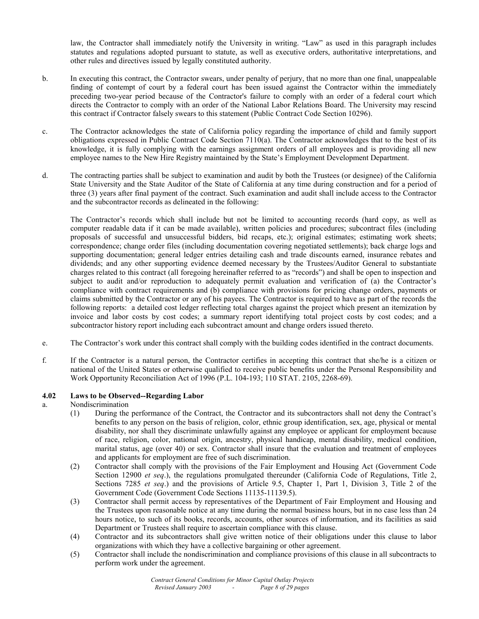law, the Contractor shall immediately notify the University in writing. "Law" as used in this paragraph includes statutes and regulations adopted pursuant to statute, as well as executive orders, authoritative interpretations, and other rules and directives issued by legally constituted authority.

- b. In executing this contract, the Contractor swears, under penalty of perjury, that no more than one final, unappealable finding of contempt of court by a federal court has been issued against the Contractor within the immediately preceding two-year period because of the Contractor's failure to comply with an order of a federal court which directs the Contractor to comply with an order of the National Labor Relations Board. The University may rescind this contract if Contractor falsely swears to this statement (Public Contract Code Section 10296).
- c. The Contractor acknowledges the state of California policy regarding the importance of child and family support obligations expressed in Public Contract Code Section 7110(a). The Contractor acknowledges that to the best of its knowledge, it is fully complying with the earnings assignment orders of all employees and is providing all new employee names to the New Hire Registry maintained by the State's Employment Development Department.
- d. The contracting parties shall be subject to examination and audit by both the Trustees (or designee) of the California State University and the State Auditor of the State of California at any time during construction and for a period of three (3) years after final payment of the contract. Such examination and audit shall include access to the Contractor and the subcontractor records as delineated in the following:

The Contractor's records which shall include but not be limited to accounting records (hard copy, as well as computer readable data if it can be made available), written policies and procedures; subcontract files (including proposals of successful and unsuccessful bidders, bid recaps, etc.); original estimates; estimating work sheets; correspondence; change order files (including documentation covering negotiated settlements); back charge logs and supporting documentation; general ledger entries detailing cash and trade discounts earned, insurance rebates and dividends; and any other supporting evidence deemed necessary by the Trustees/Auditor General to substantiate charges related to this contract (all foregoing hereinafter referred to as "records") and shall be open to inspection and subject to audit and/or reproduction to adequately permit evaluation and verification of (a) the Contractor's compliance with contract requirements and (b) compliance with provisions for pricing change orders, payments or claims submitted by the Contractor or any of his payees. The Contractor is required to have as part of the records the following reports: a detailed cost ledger reflecting total charges against the project which present an itemization by invoice and labor costs by cost codes; a summary report identifying total project costs by cost codes; and a subcontractor history report including each subcontract amount and change orders issued thereto.

- e. The Contractor's work under this contract shall comply with the building codes identified in the contract documents.
- f. If the Contractor is a natural person, the Contractor certifies in accepting this contract that she/he is a citizen or national of the United States or otherwise qualified to receive public benefits under the Personal Responsibility and Work Opportunity Reconciliation Act of 1996 (P.L. 104-193; 110 STAT. 2105, 2268-69).

# **4.02 Laws to be Observed--Regarding Labor**

- a. Nondiscrimination
	- (1) During the performance of the Contract, the Contractor and its subcontractors shall not deny the Contract's benefits to any person on the basis of religion, color, ethnic group identification, sex, age, physical or mental disability, nor shall they discriminate unlawfully against any employee or applicant for employment because of race, religion, color, national origin, ancestry, physical handicap, mental disability, medical condition, marital status, age (over 40) or sex. Contractor shall insure that the evaluation and treatment of employees and applicants for employment are free of such discrimination.
	- (2) Contractor shall comply with the provisions of the Fair Employment and Housing Act (Government Code Section 12900 *et seq*.), the regulations promulgated thereunder (California Code of Regulations, Title 2, Sections 7285 *et seq*.) and the provisions of Article 9.5, Chapter 1, Part 1, Division 3, Title 2 of the Government Code (Government Code Sections 11135-11139.5).
	- (3) Contractor shall permit access by representatives of the Department of Fair Employment and Housing and the Trustees upon reasonable notice at any time during the normal business hours, but in no case less than 24 hours notice, to such of its books, records, accounts, other sources of information, and its facilities as said Department or Trustees shall require to ascertain compliance with this clause.
	- (4) Contractor and its subcontractors shall give written notice of their obligations under this clause to labor organizations with which they have a collective bargaining or other agreement.
	- (5) Contractor shall include the nondiscrimination and compliance provisions of this clause in all subcontracts to perform work under the agreement.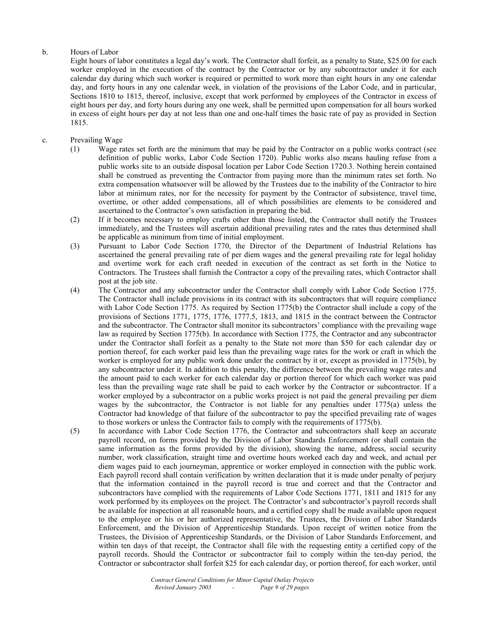# b. Hours of Labor

 Eight hours of labor constitutes a legal day's work. The Contractor shall forfeit, as a penalty to State, \$25.00 for each worker employed in the execution of the contract by the Contractor or by any subcontractor under it for each calendar day during which such worker is required or permitted to work more than eight hours in any one calendar day, and forty hours in any one calendar week, in violation of the provisions of the Labor Code, and in particular, Sections 1810 to 1815, thereof, inclusive, except that work performed by employees of the Contractor in excess of eight hours per day, and forty hours during any one week, shall be permitted upon compensation for all hours worked in excess of eight hours per day at not less than one and one-half times the basic rate of pay as provided in Section 1815.

# c. Prevailing Wage

- (1) Wage rates set forth are the minimum that may be paid by the Contractor on a public works contract (see definition of public works, Labor Code Section 1720). Public works also means hauling refuse from a public works site to an outside disposal location per Labor Code Section 1720.3. Nothing herein contained shall be construed as preventing the Contractor from paying more than the minimum rates set forth. No extra compensation whatsoever will be allowed by the Trustees due to the inability of the Contractor to hire labor at minimum rates, nor for the necessity for payment by the Contractor of subsistence, travel time, overtime, or other added compensations, all of which possibilities are elements to be considered and ascertained to the Contractor's own satisfaction in preparing the bid.
- (2) If it becomes necessary to employ crafts other than those listed, the Contractor shall notify the Trustees immediately, and the Trustees will ascertain additional prevailing rates and the rates thus determined shall be applicable as minimum from time of initial employment.
- (3) Pursuant to Labor Code Section 1770, the Director of the Department of Industrial Relations has ascertained the general prevailing rate of per diem wages and the general prevailing rate for legal holiday and overtime work for each craft needed in execution of the contract as set forth in the Notice to Contractors. The Trustees shall furnish the Contractor a copy of the prevailing rates, which Contractor shall post at the job site.
- (4) The Contractor and any subcontractor under the Contractor shall comply with Labor Code Section 1775. The Contractor shall include provisions in its contract with its subcontractors that will require compliance with Labor Code Section 1775. As required by Section 1775(b) the Contractor shall include a copy of the provisions of Sections 1771, 1775, 1776, 1777.5, 1813, and 1815 in the contract between the Contractor and the subcontractor. The Contractor shall monitor its subcontractors' compliance with the prevailing wage law as required by Section 1775(b). In accordance with Section 1775, the Contractor and any subcontractor under the Contractor shall forfeit as a penalty to the State not more than \$50 for each calendar day or portion thereof, for each worker paid less than the prevailing wage rates for the work or craft in which the worker is employed for any public work done under the contract by it or, except as provided in 1775(b), by any subcontractor under it. In addition to this penalty, the difference between the prevailing wage rates and the amount paid to each worker for each calendar day or portion thereof for which each worker was paid less than the prevailing wage rate shall be paid to each worker by the Contractor or subcontractor. If a worker employed by a subcontractor on a public works project is not paid the general prevailing per diem wages by the subcontractor, the Contractor is not liable for any penalties under  $1775(a)$  unless the Contractor had knowledge of that failure of the subcontractor to pay the specified prevailing rate of wages to those workers or unless the Contractor fails to comply with the requirements of 1775(b).
- (5) In accordance with Labor Code Section 1776, the Contractor and subcontractors shall keep an accurate payroll record, on forms provided by the Division of Labor Standards Enforcement (or shall contain the same information as the forms provided by the division), showing the name, address, social security number, work classification, straight time and overtime hours worked each day and week, and actual per diem wages paid to each journeyman, apprentice or worker employed in connection with the public work. Each payroll record shall contain verification by written declaration that it is made under penalty of perjury that the information contained in the payroll record is true and correct and that the Contractor and subcontractors have complied with the requirements of Labor Code Sections 1771, 1811 and 1815 for any work performed by its employees on the project. The Contractor's and subcontractor's payroll records shall be available for inspection at all reasonable hours, and a certified copy shall be made available upon request to the employee or his or her authorized representative, the Trustees, the Division of Labor Standards Enforcement, and the Division of Apprenticeship Standards. Upon receipt of written notice from the Trustees, the Division of Apprenticeship Standards, or the Division of Labor Standards Enforcement, and within ten days of that receipt, the Contractor shall file with the requesting entity a certified copy of the payroll records. Should the Contractor or subcontractor fail to comply within the ten-day period, the Contractor or subcontractor shall forfeit \$25 for each calendar day, or portion thereof, for each worker, until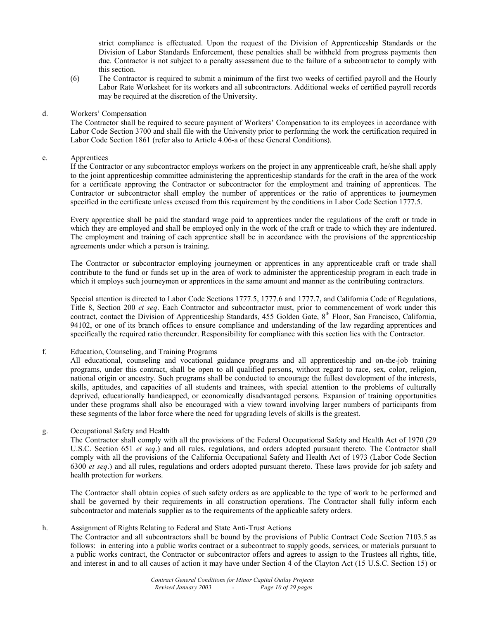strict compliance is effectuated. Upon the request of the Division of Apprenticeship Standards or the Division of Labor Standards Enforcement, these penalties shall be withheld from progress payments then due. Contractor is not subject to a penalty assessment due to the failure of a subcontractor to comply with this section.

(6) The Contractor is required to submit a minimum of the first two weeks of certified payroll and the Hourly Labor Rate Worksheet for its workers and all subcontractors. Additional weeks of certified payroll records may be required at the discretion of the University.

#### d. Workers' Compensation

 The Contractor shall be required to secure payment of Workers' Compensation to its employees in accordance with Labor Code Section 3700 and shall file with the University prior to performing the work the certification required in Labor Code Section 1861 (refer also to Article 4.06-a of these General Conditions).

#### e. Apprentices

 If the Contractor or any subcontractor employs workers on the project in any apprenticeable craft, he/she shall apply to the joint apprenticeship committee administering the apprenticeship standards for the craft in the area of the work for a certificate approving the Contractor or subcontractor for the employment and training of apprentices. The Contractor or subcontractor shall employ the number of apprentices or the ratio of apprentices to journeymen specified in the certificate unless excused from this requirement by the conditions in Labor Code Section 1777.5.

 Every apprentice shall be paid the standard wage paid to apprentices under the regulations of the craft or trade in which they are employed and shall be employed only in the work of the craft or trade to which they are indentured. The employment and training of each apprentice shall be in accordance with the provisions of the apprenticeship agreements under which a person is training.

 The Contractor or subcontractor employing journeymen or apprentices in any apprenticeable craft or trade shall contribute to the fund or funds set up in the area of work to administer the apprenticeship program in each trade in which it employs such journeymen or apprentices in the same amount and manner as the contributing contractors.

 Special attention is directed to Labor Code Sections 1777.5, 1777.6 and 1777.7, and California Code of Regulations, Title 8, Section 200 *et seq*. Each Contractor and subcontractor must, prior to commencement of work under this contract, contact the Division of Apprenticeship Standards, 455 Golden Gate,  $8<sup>th</sup>$  Floor, San Francisco, California, 94102, or one of its branch offices to ensure compliance and understanding of the law regarding apprentices and specifically the required ratio thereunder. Responsibility for compliance with this section lies with the Contractor.

#### f. Education, Counseling, and Training Programs

 All educational, counseling and vocational guidance programs and all apprenticeship and on-the-job training programs, under this contract, shall be open to all qualified persons, without regard to race, sex, color, religion, national origin or ancestry. Such programs shall be conducted to encourage the fullest development of the interests, skills, aptitudes, and capacities of all students and trainees, with special attention to the problems of culturally deprived, educationally handicapped, or economically disadvantaged persons. Expansion of training opportunities under these programs shall also be encouraged with a view toward involving larger numbers of participants from these segments of the labor force where the need for upgrading levels of skills is the greatest.

# g. Occupational Safety and Health

 The Contractor shall comply with all the provisions of the Federal Occupational Safety and Health Act of 1970 (29 U.S.C. Section 651 *et seq*.) and all rules, regulations, and orders adopted pursuant thereto. The Contractor shall comply with all the provisions of the California Occupational Safety and Health Act of 1973 (Labor Code Section 6300 *et seq*.) and all rules, regulations and orders adopted pursuant thereto. These laws provide for job safety and health protection for workers.

 The Contractor shall obtain copies of such safety orders as are applicable to the type of work to be performed and shall be governed by their requirements in all construction operations. The Contractor shall fully inform each subcontractor and materials supplier as to the requirements of the applicable safety orders.

# h. Assignment of Rights Relating to Federal and State Anti-Trust Actions

 The Contractor and all subcontractors shall be bound by the provisions of Public Contract Code Section 7103.5 as follows: in entering into a public works contract or a subcontract to supply goods, services, or materials pursuant to a public works contract, the Contractor or subcontractor offers and agrees to assign to the Trustees all rights, title, and interest in and to all causes of action it may have under Section 4 of the Clayton Act (15 U.S.C. Section 15) or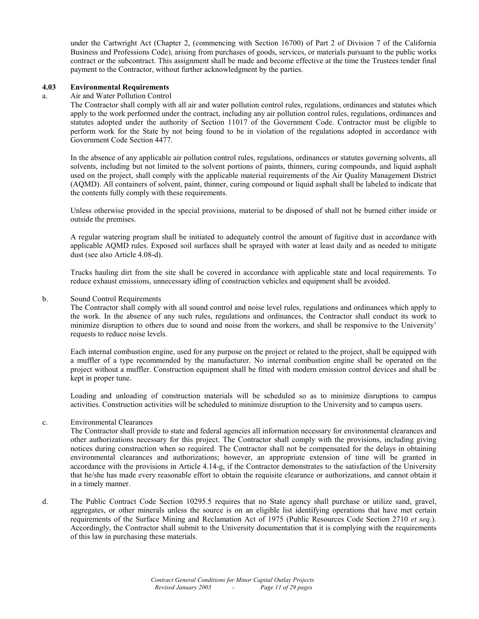under the Cartwright Act (Chapter 2, (commencing with Section 16700) of Part 2 of Division 7 of the California Business and Professions Code), arising from purchases of goods, services, or materials pursuant to the public works contract or the subcontract. This assignment shall be made and become effective at the time the Trustees tender final payment to the Contractor, without further acknowledgment by the parties.

#### **4.03 Environmental Requirements**

#### a. Air and Water Pollution Control

 The Contractor shall comply with all air and water pollution control rules, regulations, ordinances and statutes which apply to the work performed under the contract, including any air pollution control rules, regulations, ordinances and statutes adopted under the authority of Section 11017 of the Government Code. Contractor must be eligible to perform work for the State by not being found to be in violation of the regulations adopted in accordance with Government Code Section 4477.

 In the absence of any applicable air pollution control rules, regulations, ordinances or statutes governing solvents, all solvents, including but not limited to the solvent portions of paints, thinners, curing compounds, and liquid asphalt used on the project, shall comply with the applicable material requirements of the Air Quality Management District (AQMD). All containers of solvent, paint, thinner, curing compound or liquid asphalt shall be labeled to indicate that the contents fully comply with these requirements.

 Unless otherwise provided in the special provisions, material to be disposed of shall not be burned either inside or outside the premises.

 A regular watering program shall be initiated to adequately control the amount of fugitive dust in accordance with applicable AQMD rules. Exposed soil surfaces shall be sprayed with water at least daily and as needed to mitigate dust (see also Article 4.08-d).

 Trucks hauling dirt from the site shall be covered in accordance with applicable state and local requirements. To reduce exhaust emissions, unnecessary idling of construction vehicles and equipment shall be avoided.

#### b. Sound Control Requirements

 The Contractor shall comply with all sound control and noise level rules, regulations and ordinances which apply to the work. In the absence of any such rules, regulations and ordinances, the Contractor shall conduct its work to minimize disruption to others due to sound and noise from the workers, and shall be responsive to the University' requests to reduce noise levels.

 Each internal combustion engine, used for any purpose on the project or related to the project, shall be equipped with a muffler of a type recommended by the manufacturer. No internal combustion engine shall be operated on the project without a muffler. Construction equipment shall be fitted with modern emission control devices and shall be kept in proper tune.

 Loading and unloading of construction materials will be scheduled so as to minimize disruptions to campus activities. Construction activities will be scheduled to minimize disruption to the University and to campus users.

#### c. Environmental Clearances

 The Contractor shall provide to state and federal agencies all information necessary for environmental clearances and other authorizations necessary for this project. The Contractor shall comply with the provisions, including giving notices during construction when so required. The Contractor shall not be compensated for the delays in obtaining environmental clearances and authorizations; however, an appropriate extension of time will be granted in accordance with the provisions in Article 4.14-g, if the Contractor demonstrates to the satisfaction of the University that he/she has made every reasonable effort to obtain the requisite clearance or authorizations, and cannot obtain it in a timely manner.

d. The Public Contract Code Section 10295.5 requires that no State agency shall purchase or utilize sand, gravel, aggregates, or other minerals unless the source is on an eligible list identifying operations that have met certain requirements of the Surface Mining and Reclamation Act of 1975 (Public Resources Code Section 2710 *et seq*.). Accordingly, the Contractor shall submit to the University documentation that it is complying with the requirements of this law in purchasing these materials.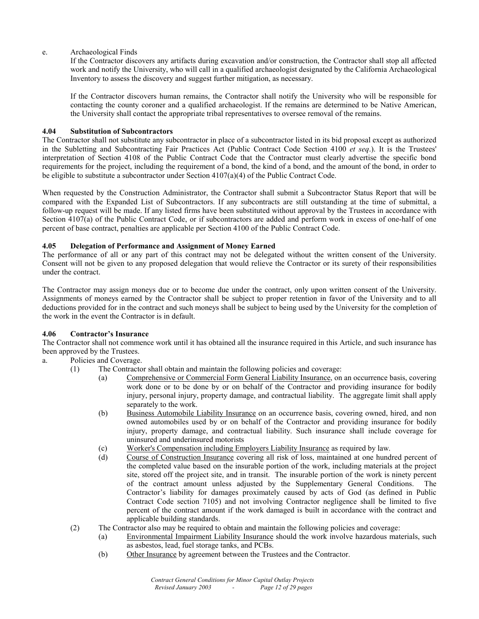e. Archaeological Finds

 If the Contractor discovers any artifacts during excavation and/or construction, the Contractor shall stop all affected work and notify the University, who will call in a qualified archaeologist designated by the California Archaeological Inventory to assess the discovery and suggest further mitigation, as necessary.

 If the Contractor discovers human remains, the Contractor shall notify the University who will be responsible for contacting the county coroner and a qualified archaeologist. If the remains are determined to be Native American, the University shall contact the appropriate tribal representatives to oversee removal of the remains.

# **4.04 Substitution of Subcontractors**

The Contractor shall not substitute any subcontractor in place of a subcontractor listed in its bid proposal except as authorized in the Subletting and Subcontracting Fair Practices Act (Public Contract Code Section 4100 *et seq*.). It is the Trustees' interpretation of Section 4108 of the Public Contract Code that the Contractor must clearly advertise the specific bond requirements for the project, including the requirement of a bond, the kind of a bond, and the amount of the bond, in order to be eligible to substitute a subcontractor under Section  $4107(a)(4)$  of the Public Contract Code.

When requested by the Construction Administrator, the Contractor shall submit a Subcontractor Status Report that will be compared with the Expanded List of Subcontractors. If any subcontracts are still outstanding at the time of submittal, a follow-up request will be made. If any listed firms have been substituted without approval by the Trustees in accordance with Section 4107(a) of the Public Contract Code, or if subcontractors are added and perform work in excess of one-half of one percent of base contract, penalties are applicable per Section 4100 of the Public Contract Code.

# **4.05 Delegation of Performance and Assignment of Money Earned**

The performance of all or any part of this contract may not be delegated without the written consent of the University. Consent will not be given to any proposed delegation that would relieve the Contractor or its surety of their responsibilities under the contract.

The Contractor may assign moneys due or to become due under the contract, only upon written consent of the University. Assignments of moneys earned by the Contractor shall be subject to proper retention in favor of the University and to all deductions provided for in the contract and such moneys shall be subject to being used by the University for the completion of the work in the event the Contractor is in default.

# **4.06 Contractor's Insurance**

The Contractor shall not commence work until it has obtained all the insurance required in this Article, and such insurance has been approved by the Trustees.

# a. Policies and Coverage.

- (1) The Contractor shall obtain and maintain the following policies and coverage:
	- (a) Comprehensive or Commercial Form General Liability Insurance, on an occurrence basis, covering work done or to be done by or on behalf of the Contractor and providing insurance for bodily injury, personal injury, property damage, and contractual liability. The aggregate limit shall apply separately to the work.
	- (b) Business Automobile Liability Insurance on an occurrence basis, covering owned, hired, and non owned automobiles used by or on behalf of the Contractor and providing insurance for bodily injury, property damage, and contractual liability. Such insurance shall include coverage for uninsured and underinsured motorists
	- (c) Worker's Compensation including Employers Liability Insurance as required by law.
	- (d) Course of Construction Insurance covering all risk of loss, maintained at one hundred percent of the completed value based on the insurable portion of the work, including materials at the project site, stored off the project site, and in transit. The insurable portion of the work is ninety percent of the contract amount unless adjusted by the Supplementary General Conditions. The Contractor's liability for damages proximately caused by acts of God (as defined in Public Contract Code section 7105) and not involving Contractor negligence shall be limited to five percent of the contract amount if the work damaged is built in accordance with the contract and applicable building standards.
	- (2) The Contractor also may be required to obtain and maintain the following policies and coverage:
		- (a) Environmental Impairment Liability Insurance should the work involve hazardous materials, such as asbestos, lead, fuel storage tanks, and PCBs.
		- (b) Other Insurance by agreement between the Trustees and the Contractor.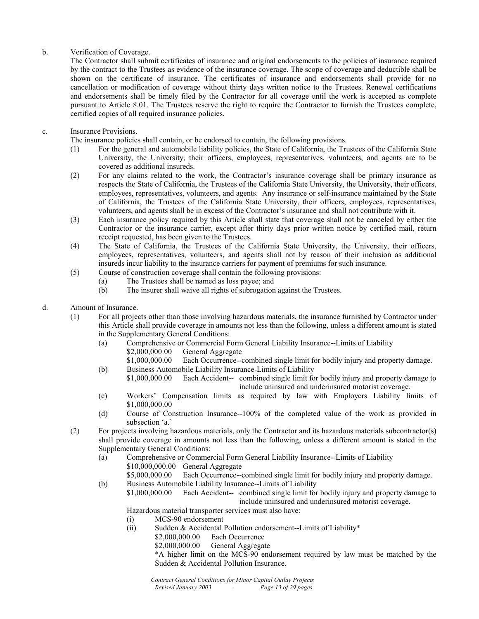# b. Verification of Coverage.

The Contractor shall submit certificates of insurance and original endorsements to the policies of insurance required by the contract to the Trustees as evidence of the insurance coverage. The scope of coverage and deductible shall be shown on the certificate of insurance. The certificates of insurance and endorsements shall provide for no cancellation or modification of coverage without thirty days written notice to the Trustees. Renewal certifications and endorsements shall be timely filed by the Contractor for all coverage until the work is accepted as complete pursuant to Article 8.01. The Trustees reserve the right to require the Contractor to furnish the Trustees complete, certified copies of all required insurance policies.

# c. Insurance Provisions.

The insurance policies shall contain, or be endorsed to contain, the following provisions.

- (1) For the general and automobile liability policies, the State of California, the Trustees of the California State University, the University, their officers, employees, representatives, volunteers, and agents are to be covered as additional insureds.
- (2) For any claims related to the work, the Contractor's insurance coverage shall be primary insurance as respects the State of California, the Trustees of the California State University, the University, their officers, employees, representatives, volunteers, and agents. Any insurance or self-insurance maintained by the State of California, the Trustees of the California State University, their officers, employees, representatives, volunteers, and agents shall be in excess of the Contractor's insurance and shall not contribute with it.
- (3) Each insurance policy required by this Article shall state that coverage shall not be canceled by either the Contractor or the insurance carrier, except after thirty days prior written notice by certified mail, return receipt requested, has been given to the Trustees.
- (4) The State of California, the Trustees of the California State University, the University, their officers, employees, representatives, volunteers, and agents shall not by reason of their inclusion as additional insureds incur liability to the insurance carriers for payment of premiums for such insurance.
- (5) Course of construction coverage shall contain the following provisions:
	- (a) The Trustees shall be named as loss payee; and<br>(b) The insurer shall waive all rights of subrogation
	- The insurer shall waive all rights of subrogation against the Trustees.
- d. Amount of Insurance.
	- (1) For all projects other than those involving hazardous materials, the insurance furnished by Contractor under this Article shall provide coverage in amounts not less than the following, unless a different amount is stated in the Supplementary General Conditions:
		- (a) Comprehensive or Commercial Form General Liability Insurance--Limits of Liability \$2,000,000.00 General Aggregate<br>\$1,000,000.00 Each Occurrence--
		- Each Occurrence--combined single limit for bodily injury and property damage. (b) Business Automobile Liability Insurance-Limits of Liability
		- \$1,000,000.00 Each Accident-- combined single limit for bodily injury and property damage to include uninsured and underinsured motorist coverage.
		- (c) Workers' Compensation limits as required by law with Employers Liability limits of \$1,000,000.00
		- (d) Course of Construction Insurance--100% of the completed value of the work as provided in subsection 'a.'
	- (2) For projects involving hazardous materials, only the Contractor and its hazardous materials subcontractor(s) shall provide coverage in amounts not less than the following, unless a different amount is stated in the Supplementary General Conditions:
		- (a) Comprehensive or Commercial Form General Liability Insurance--Limits of Liability \$10,000,000.00 General Aggregate
		- \$5,000,000.00 Each Occurrence--combined single limit for bodily injury and property damage. (b) Business Automobile Liability Insurance--Limits of Liability
			- \$1,000,000.00 Each Accident-- combined single limit for bodily injury and property damage to include uninsured and underinsured motorist coverage.

Hazardous material transporter services must also have:

- (i) MCS-90 endorsement
- (ii) Sudden & Accidental Pollution endorsement--Limits of Liability\*
	- \$2,000,000.00 Each Occurrence
		- \$2,000,000.00 General Aggregate
		- \*A higher limit on the MCS-90 endorsement required by law must be matched by the Sudden & Accidental Pollution Insurance.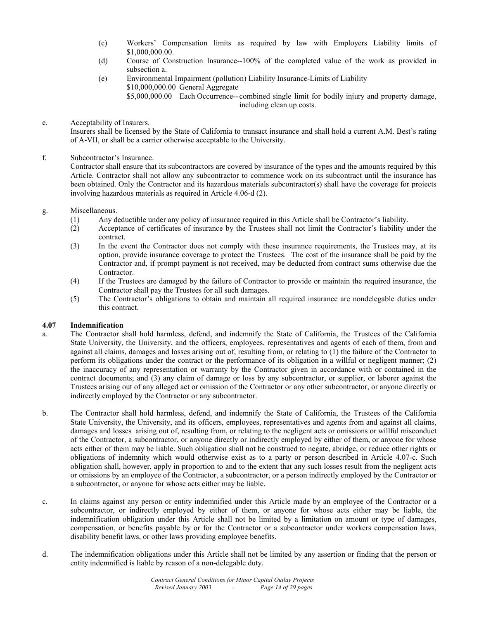- (c) Workers' Compensation limits as required by law with Employers Liability limits of \$1,000,000.00.
- (d) Course of Construction Insurance--100% of the completed value of the work as provided in subsection a.
- (e) Environmental Impairment (pollution) Liability Insurance-Limits of Liability \$10,000,000.00 General Aggregate

\$5,000,000.00 Each Occurrence-- combined single limit for bodily injury and property damage, including clean up costs.

e. Acceptability of Insurers.

 Insurers shall be licensed by the State of California to transact insurance and shall hold a current A.M. Best's rating of A-VII, or shall be a carrier otherwise acceptable to the University.

# f. Subcontractor's Insurance.

Contractor shall ensure that its subcontractors are covered by insurance of the types and the amounts required by this Article. Contractor shall not allow any subcontractor to commence work on its subcontract until the insurance has been obtained. Only the Contractor and its hazardous materials subcontractor(s) shall have the coverage for projects involving hazardous materials as required in Article 4.06-d (2).

# g. Miscellaneous.

- (1) Any deductible under any policy of insurance required in this Article shall be Contractor's liability.
- (2) Acceptance of certificates of insurance by the Trustees shall not limit the Contractor's liability under the contract.
- (3) In the event the Contractor does not comply with these insurance requirements, the Trustees may, at its option, provide insurance coverage to protect the Trustees. The cost of the insurance shall be paid by the Contractor and, if prompt payment is not received, may be deducted from contract sums otherwise due the Contractor.
- (4) If the Trustees are damaged by the failure of Contractor to provide or maintain the required insurance, the Contractor shall pay the Trustees for all such damages.
- (5) The Contractor's obligations to obtain and maintain all required insurance are nondelegable duties under this contract.

# **4.07 Indemnification**

- a. The Contractor shall hold harmless, defend, and indemnify the State of California, the Trustees of the California State University, the University, and the officers, employees, representatives and agents of each of them, from and against all claims, damages and losses arising out of, resulting from, or relating to (1) the failure of the Contractor to perform its obligations under the contract or the performance of its obligation in a willful or negligent manner; (2) the inaccuracy of any representation or warranty by the Contractor given in accordance with or contained in the contract documents; and (3) any claim of damage or loss by any subcontractor, or supplier, or laborer against the Trustees arising out of any alleged act or omission of the Contractor or any other subcontractor, or anyone directly or indirectly employed by the Contractor or any subcontractor.
- b. The Contractor shall hold harmless, defend, and indemnify the State of California, the Trustees of the California State University, the University, and its officers, employees, representatives and agents from and against all claims, damages and losses arising out of, resulting from, or relating to the negligent acts or omissions or willful misconduct of the Contractor, a subcontractor, or anyone directly or indirectly employed by either of them, or anyone for whose acts either of them may be liable. Such obligation shall not be construed to negate, abridge, or reduce other rights or obligations of indemnity which would otherwise exist as to a party or person described in Article 4.07-c. Such obligation shall, however, apply in proportion to and to the extent that any such losses result from the negligent acts or omissions by an employee of the Contractor, a subcontractor, or a person indirectly employed by the Contractor or a subcontractor, or anyone for whose acts either may be liable.
- c. In claims against any person or entity indemnified under this Article made by an employee of the Contractor or a subcontractor, or indirectly employed by either of them, or anyone for whose acts either may be liable, the indemnification obligation under this Article shall not be limited by a limitation on amount or type of damages, compensation, or benefits payable by or for the Contractor or a subcontractor under workers compensation laws, disability benefit laws, or other laws providing employee benefits.
- d. The indemnification obligations under this Article shall not be limited by any assertion or finding that the person or entity indemnified is liable by reason of a non-delegable duty.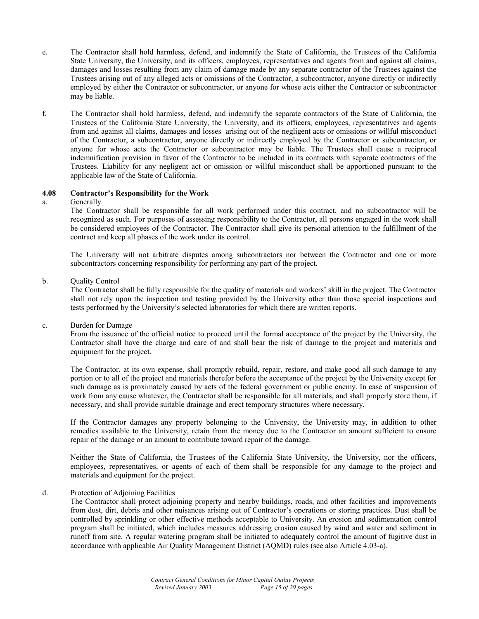- e. The Contractor shall hold harmless, defend, and indemnify the State of California, the Trustees of the California State University, the University, and its officers, employees, representatives and agents from and against all claims, damages and losses resulting from any claim of damage made by any separate contractor of the Trustees against the Trustees arising out of any alleged acts or omissions of the Contractor, a subcontractor, anyone directly or indirectly employed by either the Contractor or subcontractor, or anyone for whose acts either the Contractor or subcontractor may be liable.
- f. The Contractor shall hold harmless, defend, and indemnify the separate contractors of the State of California, the Trustees of the California State University, the University, and its officers, employees, representatives and agents from and against all claims, damages and losses arising out of the negligent acts or omissions or willful misconduct of the Contractor, a subcontractor, anyone directly or indirectly employed by the Contractor or subcontractor, or anyone for whose acts the Contractor or subcontractor may be liable. The Trustees shall cause a reciprocal indemnification provision in favor of the Contractor to be included in its contracts with separate contractors of the Trustees. Liability for any negligent act or omission or willful misconduct shall be apportioned pursuant to the applicable law of the State of California.

#### **4.08 Contractor's Responsibility for the Work**

#### a. Generally

 The Contractor shall be responsible for all work performed under this contract, and no subcontractor will be recognized as such. For purposes of assessing responsibility to the Contractor, all persons engaged in the work shall be considered employees of the Contractor. The Contractor shall give its personal attention to the fulfillment of the contract and keep all phases of the work under its control.

 The University will not arbitrate disputes among subcontractors nor between the Contractor and one or more subcontractors concerning responsibility for performing any part of the project.

#### b. Ouality Control

 The Contractor shall be fully responsible for the quality of materials and workers' skill in the project. The Contractor shall not rely upon the inspection and testing provided by the University other than those special inspections and tests performed by the University's selected laboratories for which there are written reports.

#### c. Burden for Damage

 From the issuance of the official notice to proceed until the formal acceptance of the project by the University, the Contractor shall have the charge and care of and shall bear the risk of damage to the project and materials and equipment for the project.

 The Contractor, at its own expense, shall promptly rebuild, repair, restore, and make good all such damage to any portion or to all of the project and materials therefor before the acceptance of the project by the University except for such damage as is proximately caused by acts of the federal government or public enemy. In case of suspension of work from any cause whatever, the Contractor shall be responsible for all materials, and shall properly store them, if necessary, and shall provide suitable drainage and erect temporary structures where necessary.

 If the Contractor damages any property belonging to the University, the University may, in addition to other remedies available to the University, retain from the money due to the Contractor an amount sufficient to ensure repair of the damage or an amount to contribute toward repair of the damage.

 Neither the State of California, the Trustees of the California State University, the University, nor the officers, employees, representatives, or agents of each of them shall be responsible for any damage to the project and materials and equipment for the project.

#### d. Protection of Adjoining Facilities

 The Contractor shall protect adjoining property and nearby buildings, roads, and other facilities and improvements from dust, dirt, debris and other nuisances arising out of Contractor's operations or storing practices. Dust shall be controlled by sprinkling or other effective methods acceptable to University. An erosion and sedimentation control program shall be initiated, which includes measures addressing erosion caused by wind and water and sediment in runoff from site. A regular watering program shall be initiated to adequately control the amount of fugitive dust in accordance with applicable Air Quality Management District (AQMD) rules (see also Article 4.03-a).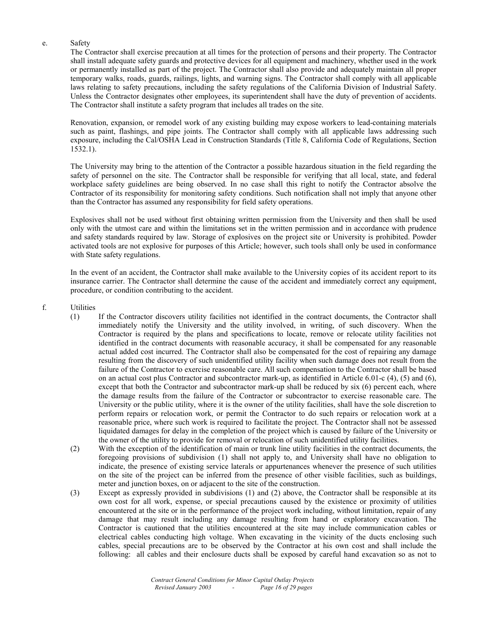#### e. Safety

 The Contractor shall exercise precaution at all times for the protection of persons and their property. The Contractor shall install adequate safety guards and protective devices for all equipment and machinery, whether used in the work or permanently installed as part of the project. The Contractor shall also provide and adequately maintain all proper temporary walks, roads, guards, railings, lights, and warning signs. The Contractor shall comply with all applicable laws relating to safety precautions, including the safety regulations of the California Division of Industrial Safety. Unless the Contractor designates other employees, its superintendent shall have the duty of prevention of accidents. The Contractor shall institute a safety program that includes all trades on the site.

Renovation, expansion, or remodel work of any existing building may expose workers to lead-containing materials such as paint, flashings, and pipe joints. The Contractor shall comply with all applicable laws addressing such exposure, including the Cal/OSHA Lead in Construction Standards (Title 8, California Code of Regulations, Section 1532.1).

 The University may bring to the attention of the Contractor a possible hazardous situation in the field regarding the safety of personnel on the site. The Contractor shall be responsible for verifying that all local, state, and federal workplace safety guidelines are being observed. In no case shall this right to notify the Contractor absolve the Contractor of its responsibility for monitoring safety conditions. Such notification shall not imply that anyone other than the Contractor has assumed any responsibility for field safety operations.

 Explosives shall not be used without first obtaining written permission from the University and then shall be used only with the utmost care and within the limitations set in the written permission and in accordance with prudence and safety standards required by law. Storage of explosives on the project site or University is prohibited. Powder activated tools are not explosive for purposes of this Article; however, such tools shall only be used in conformance with State safety regulations.

 In the event of an accident, the Contractor shall make available to the University copies of its accident report to its insurance carrier. The Contractor shall determine the cause of the accident and immediately correct any equipment, procedure, or condition contributing to the accident.

- f. Utilities
	- (1) If the Contractor discovers utility facilities not identified in the contract documents, the Contractor shall immediately notify the University and the utility involved, in writing, of such discovery. When the Contractor is required by the plans and specifications to locate, remove or relocate utility facilities not identified in the contract documents with reasonable accuracy, it shall be compensated for any reasonable actual added cost incurred. The Contractor shall also be compensated for the cost of repairing any damage resulting from the discovery of such unidentified utility facility when such damage does not result from the failure of the Contractor to exercise reasonable care. All such compensation to the Contractor shall be based on an actual cost plus Contractor and subcontractor mark-up, as identified in Article 6.01-c (4), (5) and (6), except that both the Contractor and subcontractor mark-up shall be reduced by six (6) percent each, where the damage results from the failure of the Contractor or subcontractor to exercise reasonable care. The University or the public utility, where it is the owner of the utility facilities, shall have the sole discretion to perform repairs or relocation work, or permit the Contractor to do such repairs or relocation work at a reasonable price, where such work is required to facilitate the project. The Contractor shall not be assessed liquidated damages for delay in the completion of the project which is caused by failure of the University or the owner of the utility to provide for removal or relocation of such unidentified utility facilities.
	- (2) With the exception of the identification of main or trunk line utility facilities in the contract documents, the foregoing provisions of subdivision (1) shall not apply to, and University shall have no obligation to indicate, the presence of existing service laterals or appurtenances whenever the presence of such utilities on the site of the project can be inferred from the presence of other visible facilities, such as buildings, meter and junction boxes, on or adjacent to the site of the construction.
	- (3) Except as expressly provided in subdivisions (1) and (2) above, the Contractor shall be responsible at its own cost for all work, expense, or special precautions caused by the existence or proximity of utilities encountered at the site or in the performance of the project work including, without limitation, repair of any damage that may result including any damage resulting from hand or exploratory excavation. The Contractor is cautioned that the utilities encountered at the site may include communication cables or electrical cables conducting high voltage. When excavating in the vicinity of the ducts enclosing such cables, special precautions are to be observed by the Contractor at his own cost and shall include the following: all cables and their enclosure ducts shall be exposed by careful hand excavation so as not to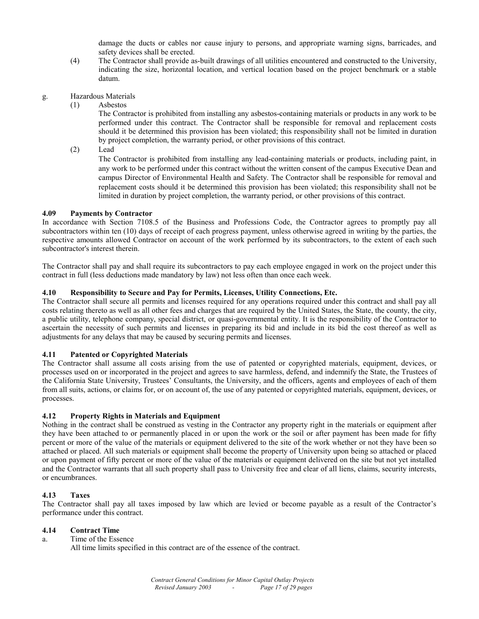damage the ducts or cables nor cause injury to persons, and appropriate warning signs, barricades, and safety devices shall be erected.

- (4) The Contractor shall provide as-built drawings of all utilities encountered and constructed to the University, indicating the size, horizontal location, and vertical location based on the project benchmark or a stable datum.
- g. Hazardous Materials
	- (1) Asbestos

The Contractor is prohibited from installing any asbestos-containing materials or products in any work to be performed under this contract. The Contractor shall be responsible for removal and replacement costs should it be determined this provision has been violated; this responsibility shall not be limited in duration by project completion, the warranty period, or other provisions of this contract.

(2) Lead

The Contractor is prohibited from installing any lead-containing materials or products, including paint, in any work to be performed under this contract without the written consent of the campus Executive Dean and campus Director of Environmental Health and Safety. The Contractor shall be responsible for removal and replacement costs should it be determined this provision has been violated; this responsibility shall not be limited in duration by project completion, the warranty period, or other provisions of this contract.

# **4.09 Payments by Contractor**

In accordance with Section 7108.5 of the Business and Professions Code, the Contractor agrees to promptly pay all subcontractors within ten (10) days of receipt of each progress payment, unless otherwise agreed in writing by the parties, the respective amounts allowed Contractor on account of the work performed by its subcontractors, to the extent of each such subcontractor's interest therein.

The Contractor shall pay and shall require its subcontractors to pay each employee engaged in work on the project under this contract in full (less deductions made mandatory by law) not less often than once each week.

# **4.10 Responsibility to Secure and Pay for Permits, Licenses, Utility Connections, Etc.**

The Contractor shall secure all permits and licenses required for any operations required under this contract and shall pay all costs relating thereto as well as all other fees and charges that are required by the United States, the State, the county, the city, a public utility, telephone company, special district, or quasi-governmental entity. It is the responsibility of the Contractor to ascertain the necessity of such permits and licenses in preparing its bid and include in its bid the cost thereof as well as adjustments for any delays that may be caused by securing permits and licenses.

# **4.11 Patented or Copyrighted Materials**

The Contractor shall assume all costs arising from the use of patented or copyrighted materials, equipment, devices, or processes used on or incorporated in the project and agrees to save harmless, defend, and indemnify the State, the Trustees of the California State University, Trustees' Consultants, the University, and the officers, agents and employees of each of them from all suits, actions, or claims for, or on account of, the use of any patented or copyrighted materials, equipment, devices, or processes.

# **4.12 Property Rights in Materials and Equipment**

Nothing in the contract shall be construed as vesting in the Contractor any property right in the materials or equipment after they have been attached to or permanently placed in or upon the work or the soil or after payment has been made for fifty percent or more of the value of the materials or equipment delivered to the site of the work whether or not they have been so attached or placed. All such materials or equipment shall become the property of University upon being so attached or placed or upon payment of fifty percent or more of the value of the materials or equipment delivered on the site but not yet installed and the Contractor warrants that all such property shall pass to University free and clear of all liens, claims, security interests, or encumbrances.

# **4.13 Taxes**

The Contractor shall pay all taxes imposed by law which are levied or become payable as a result of the Contractor's performance under this contract.

# **4.14 Contract Time**

a. Time of the Essence

All time limits specified in this contract are of the essence of the contract.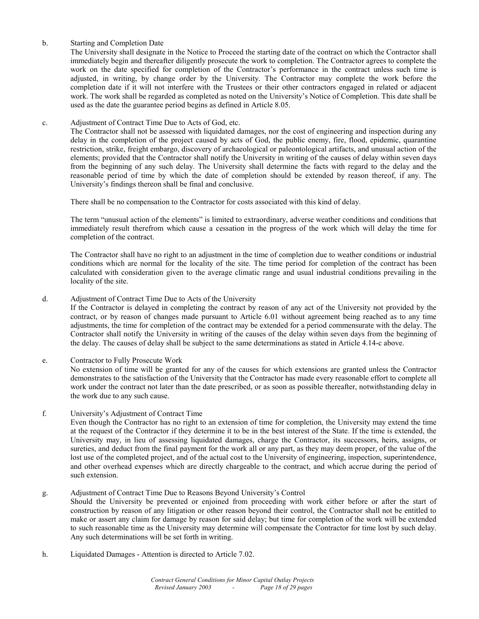#### b. Starting and Completion Date

 The University shall designate in the Notice to Proceed the starting date of the contract on which the Contractor shall immediately begin and thereafter diligently prosecute the work to completion. The Contractor agrees to complete the work on the date specified for completion of the Contractor's performance in the contract unless such time is adjusted, in writing, by change order by the University. The Contractor may complete the work before the completion date if it will not interfere with the Trustees or their other contractors engaged in related or adjacent work. The work shall be regarded as completed as noted on the University's Notice of Completion. This date shall be used as the date the guarantee period begins as defined in Article 8.05.

#### c. Adjustment of Contract Time Due to Acts of God, etc.

 The Contractor shall not be assessed with liquidated damages, nor the cost of engineering and inspection during any delay in the completion of the project caused by acts of God, the public enemy, fire, flood, epidemic, quarantine restriction, strike, freight embargo, discovery of archaeological or paleontological artifacts, and unusual action of the elements; provided that the Contractor shall notify the University in writing of the causes of delay within seven days from the beginning of any such delay. The University shall determine the facts with regard to the delay and the reasonable period of time by which the date of completion should be extended by reason thereof, if any. The University's findings thereon shall be final and conclusive.

There shall be no compensation to the Contractor for costs associated with this kind of delay.

 The term "unusual action of the elements" is limited to extraordinary, adverse weather conditions and conditions that immediately result therefrom which cause a cessation in the progress of the work which will delay the time for completion of the contract.

 The Contractor shall have no right to an adjustment in the time of completion due to weather conditions or industrial conditions which are normal for the locality of the site. The time period for completion of the contract has been calculated with consideration given to the average climatic range and usual industrial conditions prevailing in the locality of the site.

#### d. Adjustment of Contract Time Due to Acts of the University

 If the Contractor is delayed in completing the contract by reason of any act of the University not provided by the contract, or by reason of changes made pursuant to Article 6.01 without agreement being reached as to any time adjustments, the time for completion of the contract may be extended for a period commensurate with the delay. The Contractor shall notify the University in writing of the causes of the delay within seven days from the beginning of the delay. The causes of delay shall be subject to the same determinations as stated in Article 4.14-c above.

# e. Contractor to Fully Prosecute Work

 No extension of time will be granted for any of the causes for which extensions are granted unless the Contractor demonstrates to the satisfaction of the University that the Contractor has made every reasonable effort to complete all work under the contract not later than the date prescribed, or as soon as possible thereafter, notwithstanding delay in the work due to any such cause.

#### f. University's Adjustment of Contract Time

 Even though the Contractor has no right to an extension of time for completion, the University may extend the time at the request of the Contractor if they determine it to be in the best interest of the State. If the time is extended, the University may, in lieu of assessing liquidated damages, charge the Contractor, its successors, heirs, assigns, or sureties, and deduct from the final payment for the work all or any part, as they may deem proper, of the value of the lost use of the completed project, and of the actual cost to the University of engineering, inspection, superintendence, and other overhead expenses which are directly chargeable to the contract, and which accrue during the period of such extension.

# g. Adjustment of Contract Time Due to Reasons Beyond University's Control

 Should the University be prevented or enjoined from proceeding with work either before or after the start of construction by reason of any litigation or other reason beyond their control, the Contractor shall not be entitled to make or assert any claim for damage by reason for said delay; but time for completion of the work will be extended to such reasonable time as the University may determine will compensate the Contractor for time lost by such delay. Any such determinations will be set forth in writing.

h. Liquidated Damages - Attention is directed to Article 7.02.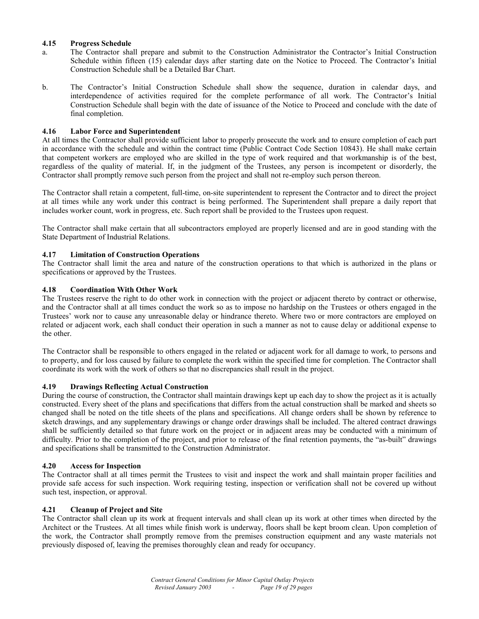## **4.15 Progress Schedule**

- a. The Contractor shall prepare and submit to the Construction Administrator the Contractor's Initial Construction Schedule within fifteen (15) calendar days after starting date on the Notice to Proceed. The Contractor's Initial Construction Schedule shall be a Detailed Bar Chart.
- b. The Contractor's Initial Construction Schedule shall show the sequence, duration in calendar days, and interdependence of activities required for the complete performance of all work. The Contractor's Initial Construction Schedule shall begin with the date of issuance of the Notice to Proceed and conclude with the date of final completion.

#### **4.16 Labor Force and Superintendent**

At all times the Contractor shall provide sufficient labor to properly prosecute the work and to ensure completion of each part in accordance with the schedule and within the contract time (Public Contract Code Section 10843). He shall make certain that competent workers are employed who are skilled in the type of work required and that workmanship is of the best, regardless of the quality of material. If, in the judgment of the Trustees, any person is incompetent or disorderly, the Contractor shall promptly remove such person from the project and shall not re-employ such person thereon.

The Contractor shall retain a competent, full-time, on-site superintendent to represent the Contractor and to direct the project at all times while any work under this contract is being performed. The Superintendent shall prepare a daily report that includes worker count, work in progress, etc. Such report shall be provided to the Trustees upon request.

The Contractor shall make certain that all subcontractors employed are properly licensed and are in good standing with the State Department of Industrial Relations.

#### **4.17 Limitation of Construction Operations**

The Contractor shall limit the area and nature of the construction operations to that which is authorized in the plans or specifications or approved by the Trustees.

#### **4.18 Coordination With Other Work**

The Trustees reserve the right to do other work in connection with the project or adjacent thereto by contract or otherwise, and the Contractor shall at all times conduct the work so as to impose no hardship on the Trustees or others engaged in the Trustees' work nor to cause any unreasonable delay or hindrance thereto. Where two or more contractors are employed on related or adjacent work, each shall conduct their operation in such a manner as not to cause delay or additional expense to the other.

The Contractor shall be responsible to others engaged in the related or adjacent work for all damage to work, to persons and to property, and for loss caused by failure to complete the work within the specified time for completion. The Contractor shall coordinate its work with the work of others so that no discrepancies shall result in the project.

#### **4.19 Drawings Reflecting Actual Construction**

During the course of construction, the Contractor shall maintain drawings kept up each day to show the project as it is actually constructed. Every sheet of the plans and specifications that differs from the actual construction shall be marked and sheets so changed shall be noted on the title sheets of the plans and specifications. All change orders shall be shown by reference to sketch drawings, and any supplementary drawings or change order drawings shall be included. The altered contract drawings shall be sufficiently detailed so that future work on the project or in adjacent areas may be conducted with a minimum of difficulty. Prior to the completion of the project, and prior to release of the final retention payments, the "as-built" drawings and specifications shall be transmitted to the Construction Administrator.

#### **4.20 Access for Inspection**

The Contractor shall at all times permit the Trustees to visit and inspect the work and shall maintain proper facilities and provide safe access for such inspection. Work requiring testing, inspection or verification shall not be covered up without such test, inspection, or approval.

# **4.21 Cleanup of Project and Site**

The Contractor shall clean up its work at frequent intervals and shall clean up its work at other times when directed by the Architect or the Trustees. At all times while finish work is underway, floors shall be kept broom clean. Upon completion of the work, the Contractor shall promptly remove from the premises construction equipment and any waste materials not previously disposed of, leaving the premises thoroughly clean and ready for occupancy.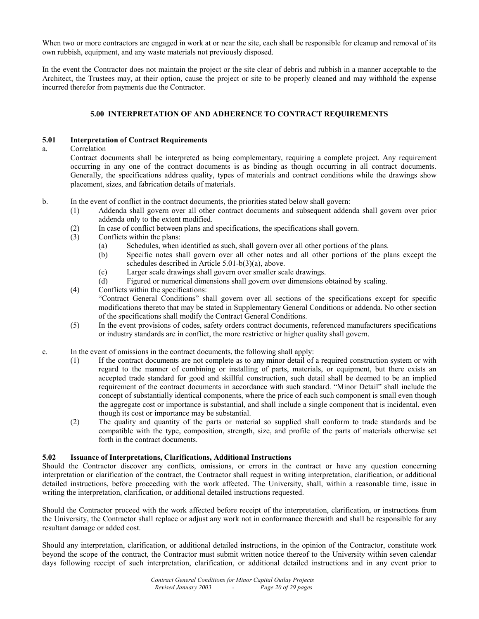When two or more contractors are engaged in work at or near the site, each shall be responsible for cleanup and removal of its own rubbish, equipment, and any waste materials not previously disposed.

In the event the Contractor does not maintain the project or the site clear of debris and rubbish in a manner acceptable to the Architect, the Trustees may, at their option, cause the project or site to be properly cleaned and may withhold the expense incurred therefor from payments due the Contractor.

# **5.00 INTERPRETATION OF AND ADHERENCE TO CONTRACT REQUIREMENTS**

#### **5.01 Interpretation of Contract Requirements**

#### a. Correlation

 Contract documents shall be interpreted as being complementary, requiring a complete project. Any requirement occurring in any one of the contract documents is as binding as though occurring in all contract documents. Generally, the specifications address quality, types of materials and contract conditions while the drawings show placement, sizes, and fabrication details of materials.

- b. In the event of conflict in the contract documents, the priorities stated below shall govern:
	- (1) Addenda shall govern over all other contract documents and subsequent addenda shall govern over prior addenda only to the extent modified.
	- (2) In case of conflict between plans and specifications, the specifications shall govern.
	- (3) Conflicts within the plans:
		- (a) Schedules, when identified as such, shall govern over all other portions of the plans.
		- (b) Specific notes shall govern over all other notes and all other portions of the plans except the schedules described in Article 5.01-b(3)(a), above.
		- (c) Larger scale drawings shall govern over smaller scale drawings.
		- (d) Figured or numerical dimensions shall govern over dimensions obtained by scaling.
	- (4) Conflicts within the specifications: "Contract General Conditions" shall govern over all sections of the specifications except for specific modifications thereto that may be stated in Supplementary General Conditions or addenda. No other section of the specifications shall modify the Contract General Conditions.
	- (5) In the event provisions of codes, safety orders contract documents, referenced manufacturers specifications or industry standards are in conflict, the more restrictive or higher quality shall govern.
- c. In the event of omissions in the contract documents, the following shall apply:
	- (1) If the contract documents are not complete as to any minor detail of a required construction system or with regard to the manner of combining or installing of parts, materials, or equipment, but there exists an accepted trade standard for good and skillful construction, such detail shall be deemed to be an implied requirement of the contract documents in accordance with such standard. "Minor Detail" shall include the concept of substantially identical components, where the price of each such component is small even though the aggregate cost or importance is substantial, and shall include a single component that is incidental, even though its cost or importance may be substantial.
	- (2) The quality and quantity of the parts or material so supplied shall conform to trade standards and be compatible with the type, composition, strength, size, and profile of the parts of materials otherwise set forth in the contract documents.

#### **5.02 Issuance of Interpretations, Clarifications, Additional Instructions**

Should the Contractor discover any conflicts, omissions, or errors in the contract or have any question concerning interpretation or clarification of the contract, the Contractor shall request in writing interpretation, clarification, or additional detailed instructions, before proceeding with the work affected. The University, shall, within a reasonable time, issue in writing the interpretation, clarification, or additional detailed instructions requested.

Should the Contractor proceed with the work affected before receipt of the interpretation, clarification, or instructions from the University, the Contractor shall replace or adjust any work not in conformance therewith and shall be responsible for any resultant damage or added cost.

Should any interpretation, clarification, or additional detailed instructions, in the opinion of the Contractor, constitute work beyond the scope of the contract, the Contractor must submit written notice thereof to the University within seven calendar days following receipt of such interpretation, clarification, or additional detailed instructions and in any event prior to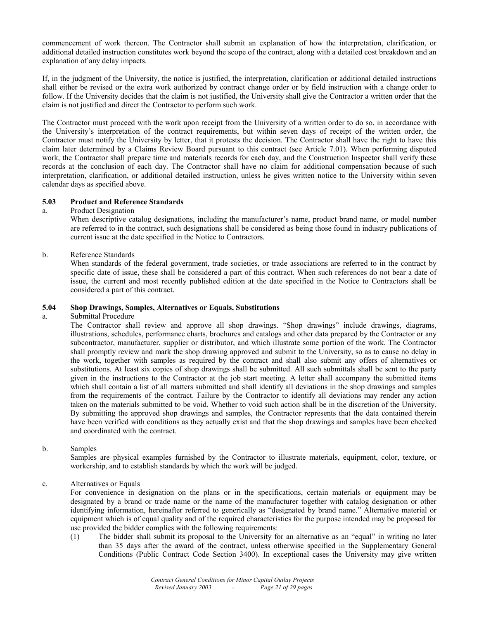commencement of work thereon. The Contractor shall submit an explanation of how the interpretation, clarification, or additional detailed instruction constitutes work beyond the scope of the contract, along with a detailed cost breakdown and an explanation of any delay impacts.

If, in the judgment of the University, the notice is justified, the interpretation, clarification or additional detailed instructions shall either be revised or the extra work authorized by contract change order or by field instruction with a change order to follow. If the University decides that the claim is not justified, the University shall give the Contractor a written order that the claim is not justified and direct the Contractor to perform such work.

The Contractor must proceed with the work upon receipt from the University of a written order to do so, in accordance with the University's interpretation of the contract requirements, but within seven days of receipt of the written order, the Contractor must notify the University by letter, that it protests the decision. The Contractor shall have the right to have this claim later determined by a Claims Review Board pursuant to this contract (see Article 7.01). When performing disputed work, the Contractor shall prepare time and materials records for each day, and the Construction Inspector shall verify these records at the conclusion of each day. The Contractor shall have no claim for additional compensation because of such interpretation, clarification, or additional detailed instruction, unless he gives written notice to the University within seven calendar days as specified above.

#### **5.03 Product and Reference Standards**

a. Product Designation

 When descriptive catalog designations, including the manufacturer's name, product brand name, or model number are referred to in the contract, such designations shall be considered as being those found in industry publications of current issue at the date specified in the Notice to Contractors.

b. Reference Standards

 When standards of the federal government, trade societies, or trade associations are referred to in the contract by specific date of issue, these shall be considered a part of this contract. When such references do not bear a date of issue, the current and most recently published edition at the date specified in the Notice to Contractors shall be considered a part of this contract.

#### **5.04 Shop Drawings, Samples, Alternatives or Equals, Substitutions**

a. Submittal Procedure

 The Contractor shall review and approve all shop drawings. "Shop drawings" include drawings, diagrams, illustrations, schedules, performance charts, brochures and catalogs and other data prepared by the Contractor or any subcontractor, manufacturer, supplier or distributor, and which illustrate some portion of the work. The Contractor shall promptly review and mark the shop drawing approved and submit to the University, so as to cause no delay in the work, together with samples as required by the contract and shall also submit any offers of alternatives or substitutions. At least six copies of shop drawings shall be submitted. All such submittals shall be sent to the party given in the instructions to the Contractor at the job start meeting. A letter shall accompany the submitted items which shall contain a list of all matters submitted and shall identify all deviations in the shop drawings and samples from the requirements of the contract. Failure by the Contractor to identify all deviations may render any action taken on the materials submitted to be void. Whether to void such action shall be in the discretion of the University. By submitting the approved shop drawings and samples, the Contractor represents that the data contained therein have been verified with conditions as they actually exist and that the shop drawings and samples have been checked and coordinated with the contract.

b. Samples

 Samples are physical examples furnished by the Contractor to illustrate materials, equipment, color, texture, or workership, and to establish standards by which the work will be judged.

c. Alternatives or Equals

 For convenience in designation on the plans or in the specifications, certain materials or equipment may be designated by a brand or trade name or the name of the manufacturer together with catalog designation or other identifying information, hereinafter referred to generically as "designated by brand name." Alternative material or equipment which is of equal quality and of the required characteristics for the purpose intended may be proposed for use provided the bidder complies with the following requirements:

(1) The bidder shall submit its proposal to the University for an alternative as an "equal" in writing no later than 35 days after the award of the contract, unless otherwise specified in the Supplementary General Conditions (Public Contract Code Section 3400). In exceptional cases the University may give written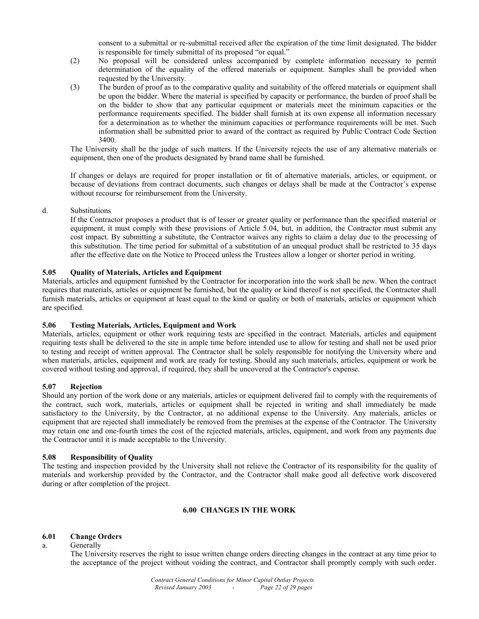consent to a submittal or re-submittal received after the expiration of the time limit designated. The bidder is responsible for timely submittal of its proposed "or equal."

- (2) No proposal will be considered unless accompanied by complete information necessary to permit determination of the equality of the offered materials or equipment. Samples shall be provided when requested by the University.
- (3) The burden of proof as to the comparative quality and suitability of the offered materials or equipment shall be upon the bidder. Where the material is specified by capacity or performance, the burden of proof shall be on the bidder to show that any particular equipment or materials meet the minimum capacities or the performance requirements specified. The bidder shall furnish at its own expense all information necessary for a determination as to whether the minimum capacities or performance requirements will be met. Such information shall be submitted prior to award of the contract as required by Public Contract Code Section 3400.

The University shall be the judge of such matters. If the University rejects the use of any alternative materials or equipment, then one of the products designated by brand name shall be furnished.

 If changes or delays are required for proper installation or fit of alternative materials, articles, or equipment, or because of deviations from contract documents, such changes or delays shall be made at the Contractor's expense without recourse for reimbursement from the University.

d. Substitutions

 If the Contractor proposes a product that is of lesser or greater quality or performance than the specified material or equipment, it must comply with these provisions of Article 5.04, but, in addition, the Contractor must submit any cost impact. By submitting a substitute, the Contractor waives any rights to claim a delay due to the processing of this substitution. The time period for submittal of a substitution of an unequal product shall be restricted to 35 days after the effective date on the Notice to Proceed unless the Trustees allow a longer or shorter period in writing.

# **5.05 Quality of Materials, Articles and Equipment**

Materials, articles and equipment furnished by the Contractor for incorporation into the work shall be new. When the contract requires that materials, articles or equipment be furnished, but the quality or kind thereof is not specified, the Contractor shall furnish materials, articles or equipment at least equal to the kind or quality or both of materials, articles or equipment which are specified.

# **5.06 Testing Materials, Articles, Equipment and Work**

Materials, articles, equipment or other work requiring tests are specified in the contract. Materials, articles and equipment requiring tests shall be delivered to the site in ample time before intended use to allow for testing and shall not be used prior to testing and receipt of written approval. The Contractor shall be solely responsible for notifying the University where and when materials, articles, equipment and work are ready for testing. Should any such materials, articles, equipment or work be covered without testing and approval, if required, they shall be uncovered at the Contractor's expense.

# **5.07 Rejection**

Should any portion of the work done or any materials, articles or equipment delivered fail to comply with the requirements of the contract, such work, materials, articles or equipment shall be rejected in writing and shall immediately be made satisfactory to the University, by the Contractor, at no additional expense to the University. Any materials, articles or equipment that are rejected shall immediately be removed from the premises at the expense of the Contractor. The University may retain one and one-fourth times the cost of the rejected materials, articles, equipment, and work from any payments due the Contractor until it is made acceptable to the University.

# **5.08 Responsibility of Quality**

The testing and inspection provided by the University shall not relieve the Contractor of its responsibility for the quality of materials and workership provided by the Contractor, and the Contractor shall make good all defective work discovered during or after completion of the project.

#### **6.00 CHANGES IN THE WORK**

# **6.01 Change Orders**

a. Generally

 The University reserves the right to issue written change orders directing changes in the contract at any time prior to the acceptance of the project without voiding the contract, and Contractor shall promptly comply with such order.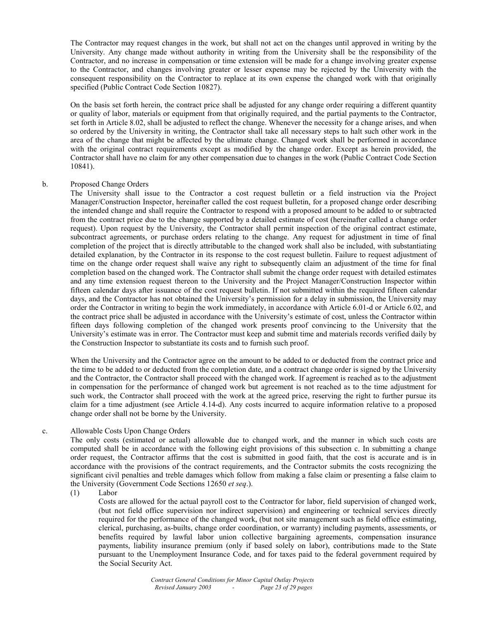The Contractor may request changes in the work, but shall not act on the changes until approved in writing by the University. Any change made without authority in writing from the University shall be the responsibility of the Contractor, and no increase in compensation or time extension will be made for a change involving greater expense to the Contractor, and changes involving greater or lesser expense may be rejected by the University with the consequent responsibility on the Contractor to replace at its own expense the changed work with that originally specified (Public Contract Code Section 10827).

 On the basis set forth herein, the contract price shall be adjusted for any change order requiring a different quantity or quality of labor, materials or equipment from that originally required, and the partial payments to the Contractor, set forth in Article 8.02, shall be adjusted to reflect the change. Whenever the necessity for a change arises, and when so ordered by the University in writing, the Contractor shall take all necessary steps to halt such other work in the area of the change that might be affected by the ultimate change. Changed work shall be performed in accordance with the original contract requirements except as modified by the change order. Except as herein provided, the Contractor shall have no claim for any other compensation due to changes in the work (Public Contract Code Section 10841).

#### b. Proposed Change Orders

 The University shall issue to the Contractor a cost request bulletin or a field instruction via the Project Manager/Construction Inspector, hereinafter called the cost request bulletin, for a proposed change order describing the intended change and shall require the Contractor to respond with a proposed amount to be added to or subtracted from the contract price due to the change supported by a detailed estimate of cost (hereinafter called a change order request). Upon request by the University, the Contractor shall permit inspection of the original contract estimate, subcontract agreements, or purchase orders relating to the change. Any request for adjustment in time of final completion of the project that is directly attributable to the changed work shall also be included, with substantiating detailed explanation, by the Contractor in its response to the cost request bulletin. Failure to request adjustment of time on the change order request shall waive any right to subsequently claim an adjustment of the time for final completion based on the changed work. The Contractor shall submit the change order request with detailed estimates and any time extension request thereon to the University and the Project Manager/Construction Inspector within fifteen calendar days after issuance of the cost request bulletin. If not submitted within the required fifteen calendar days, and the Contractor has not obtained the University's permission for a delay in submission, the University may order the Contractor in writing to begin the work immediately, in accordance with Article 6.01-d or Article 6.02, and the contract price shall be adjusted in accordance with the University's estimate of cost, unless the Contractor within fifteen days following completion of the changed work presents proof convincing to the University that the University's estimate was in error. The Contractor must keep and submit time and materials records verified daily by the Construction Inspector to substantiate its costs and to furnish such proof.

 When the University and the Contractor agree on the amount to be added to or deducted from the contract price and the time to be added to or deducted from the completion date, and a contract change order is signed by the University and the Contractor, the Contractor shall proceed with the changed work. If agreement is reached as to the adjustment in compensation for the performance of changed work but agreement is not reached as to the time adjustment for such work, the Contractor shall proceed with the work at the agreed price, reserving the right to further pursue its claim for a time adjustment (see Article 4.14-d). Any costs incurred to acquire information relative to a proposed change order shall not be borne by the University.

#### c. Allowable Costs Upon Change Orders

 The only costs (estimated or actual) allowable due to changed work, and the manner in which such costs are computed shall be in accordance with the following eight provisions of this subsection c. In submitting a change order request, the Contractor affirms that the cost is submitted in good faith, that the cost is accurate and is in accordance with the provisions of the contract requirements, and the Contractor submits the costs recognizing the significant civil penalties and treble damages which follow from making a false claim or presenting a false claim to the University (Government Code Sections 12650 *et seq*.).

(1) Labor

 Costs are allowed for the actual payroll cost to the Contractor for labor, field supervision of changed work, (but not field office supervision nor indirect supervision) and engineering or technical services directly required for the performance of the changed work, (but not site management such as field office estimating, clerical, purchasing, as-builts, change order coordination, or warranty) including payments, assessments, or benefits required by lawful labor union collective bargaining agreements, compensation insurance payments, liability insurance premium (only if based solely on labor), contributions made to the State pursuant to the Unemployment Insurance Code, and for taxes paid to the federal government required by the Social Security Act.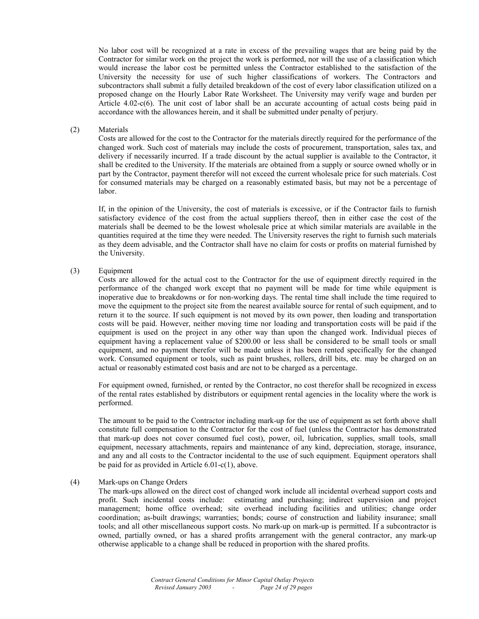No labor cost will be recognized at a rate in excess of the prevailing wages that are being paid by the Contractor for similar work on the project the work is performed, nor will the use of a classification which would increase the labor cost be permitted unless the Contractor established to the satisfaction of the University the necessity for use of such higher classifications of workers. The Contractors and subcontractors shall submit a fully detailed breakdown of the cost of every labor classification utilized on a proposed change on the Hourly Labor Rate Worksheet. The University may verify wage and burden per Article 4.02-c(6). The unit cost of labor shall be an accurate accounting of actual costs being paid in accordance with the allowances herein, and it shall be submitted under penalty of perjury.

(2) Materials

 Costs are allowed for the cost to the Contractor for the materials directly required for the performance of the changed work. Such cost of materials may include the costs of procurement, transportation, sales tax, and delivery if necessarily incurred. If a trade discount by the actual supplier is available to the Contractor, it shall be credited to the University. If the materials are obtained from a supply or source owned wholly or in part by the Contractor, payment therefor will not exceed the current wholesale price for such materials. Cost for consumed materials may be charged on a reasonably estimated basis, but may not be a percentage of labor.

 If, in the opinion of the University, the cost of materials is excessive, or if the Contractor fails to furnish satisfactory evidence of the cost from the actual suppliers thereof, then in either case the cost of the materials shall be deemed to be the lowest wholesale price at which similar materials are available in the quantities required at the time they were needed. The University reserves the right to furnish such materials as they deem advisable, and the Contractor shall have no claim for costs or profits on material furnished by the University.

# (3) Equipment

 Costs are allowed for the actual cost to the Contractor for the use of equipment directly required in the performance of the changed work except that no payment will be made for time while equipment is inoperative due to breakdowns or for non-working days. The rental time shall include the time required to move the equipment to the project site from the nearest available source for rental of such equipment, and to return it to the source. If such equipment is not moved by its own power, then loading and transportation costs will be paid. However, neither moving time nor loading and transportation costs will be paid if the equipment is used on the project in any other way than upon the changed work. Individual pieces of equipment having a replacement value of \$200.00 or less shall be considered to be small tools or small equipment, and no payment therefor will be made unless it has been rented specifically for the changed work. Consumed equipment or tools, such as paint brushes, rollers, drill bits, etc. may be charged on an actual or reasonably estimated cost basis and are not to be charged as a percentage.

 For equipment owned, furnished, or rented by the Contractor, no cost therefor shall be recognized in excess of the rental rates established by distributors or equipment rental agencies in the locality where the work is performed.

 The amount to be paid to the Contractor including mark-up for the use of equipment as set forth above shall constitute full compensation to the Contractor for the cost of fuel (unless the Contractor has demonstrated that mark-up does not cover consumed fuel cost), power, oil, lubrication, supplies, small tools, small equipment, necessary attachments, repairs and maintenance of any kind, depreciation, storage, insurance, and any and all costs to the Contractor incidental to the use of such equipment. Equipment operators shall be paid for as provided in Article 6.01-c(1), above.

#### (4) Mark-ups on Change Orders

The mark-ups allowed on the direct cost of changed work include all incidental overhead support costs and profit. Such incidental costs include: estimating and purchasing; indirect supervision and project management; home office overhead; site overhead including facilities and utilities; change order coordination; as-built drawings; warranties; bonds; course of construction and liability insurance; small tools; and all other miscellaneous support costs. No mark-up on mark-up is permitted. If a subcontractor is owned, partially owned, or has a shared profits arrangement with the general contractor, any mark-up otherwise applicable to a change shall be reduced in proportion with the shared profits.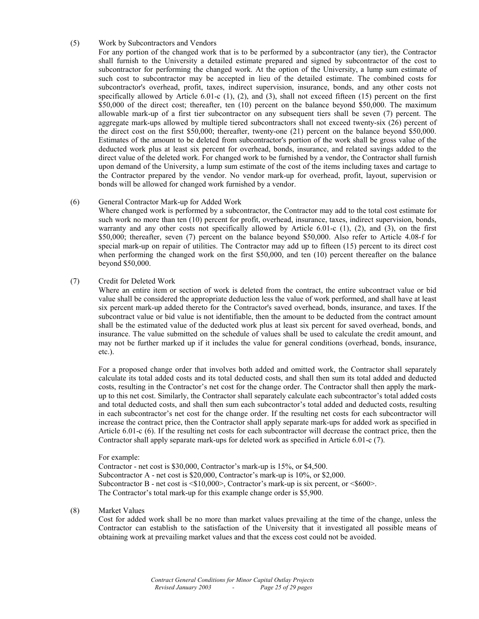# (5) Work by Subcontractors and Vendors

 For any portion of the changed work that is to be performed by a subcontractor (any tier), the Contractor shall furnish to the University a detailed estimate prepared and signed by subcontractor of the cost to subcontractor for performing the changed work. At the option of the University, a lump sum estimate of such cost to subcontractor may be accepted in lieu of the detailed estimate. The combined costs for subcontractor's overhead, profit, taxes, indirect supervision, insurance, bonds, and any other costs not specifically allowed by Article  $6.01-c$  (1), (2), and (3), shall not exceed fifteen (15) percent on the first \$50,000 of the direct cost; thereafter, ten (10) percent on the balance beyond \$50,000. The maximum allowable mark-up of a first tier subcontractor on any subsequent tiers shall be seven (7) percent. The aggregate mark-ups allowed by multiple tiered subcontractors shall not exceed twenty-six (26) percent of the direct cost on the first \$50,000; thereafter, twenty-one (21) percent on the balance beyond \$50,000. Estimates of the amount to be deleted from subcontractor's portion of the work shall be gross value of the deducted work plus at least six percent for overhead, bonds, insurance, and related savings added to the direct value of the deleted work. For changed work to be furnished by a vendor, the Contractor shall furnish upon demand of the University, a lump sum estimate of the cost of the items including taxes and cartage to the Contractor prepared by the vendor. No vendor mark-up for overhead, profit, layout, supervision or bonds will be allowed for changed work furnished by a vendor.

#### (6) General Contractor Mark-up for Added Work

 Where changed work is performed by a subcontractor, the Contractor may add to the total cost estimate for such work no more than ten (10) percent for profit, overhead, insurance, taxes, indirect supervision, bonds, warranty and any other costs not specifically allowed by Article 6.01-c (1), (2), and (3), on the first \$50,000; thereafter, seven (7) percent on the balance beyond \$50,000. Also refer to Article 4.08-f for special mark-up on repair of utilities. The Contractor may add up to fifteen (15) percent to its direct cost when performing the changed work on the first \$50,000, and ten (10) percent thereafter on the balance beyond \$50,000.

#### (7) Credit for Deleted Work

 Where an entire item or section of work is deleted from the contract, the entire subcontract value or bid value shall be considered the appropriate deduction less the value of work performed, and shall have at least six percent mark-up added thereto for the Contractor's saved overhead, bonds, insurance, and taxes. If the subcontract value or bid value is not identifiable, then the amount to be deducted from the contract amount shall be the estimated value of the deducted work plus at least six percent for saved overhead, bonds, and insurance. The value submitted on the schedule of values shall be used to calculate the credit amount, and may not be further marked up if it includes the value for general conditions (overhead, bonds, insurance, etc.).

 For a proposed change order that involves both added and omitted work, the Contractor shall separately calculate its total added costs and its total deducted costs, and shall then sum its total added and deducted costs, resulting in the Contractor's net cost for the change order. The Contractor shall then apply the markup to this net cost. Similarly, the Contractor shall separately calculate each subcontractor's total added costs and total deducted costs, and shall then sum each subcontractor's total added and deducted costs, resulting in each subcontractor's net cost for the change order. If the resulting net costs for each subcontractor will increase the contract price, then the Contractor shall apply separate mark-ups for added work as specified in Article 6.01-c (6). If the resulting net costs for each subcontractor will decrease the contract price, then the Contractor shall apply separate mark-ups for deleted work as specified in Article 6.01-c (7).

#### For example:

Contractor - net cost is \$30,000, Contractor's mark-up is 15%, or \$4,500. Subcontractor A - net cost is \$20,000, Contractor's mark-up is 10%, or \$2,000. Subcontractor B - net cost is <\$10,000>, Contractor's mark-up is six percent, or <\$600>. The Contractor's total mark-up for this example change order is \$5,900.

# (8) Market Values

 Cost for added work shall be no more than market values prevailing at the time of the change, unless the Contractor can establish to the satisfaction of the University that it investigated all possible means of obtaining work at prevailing market values and that the excess cost could not be avoided.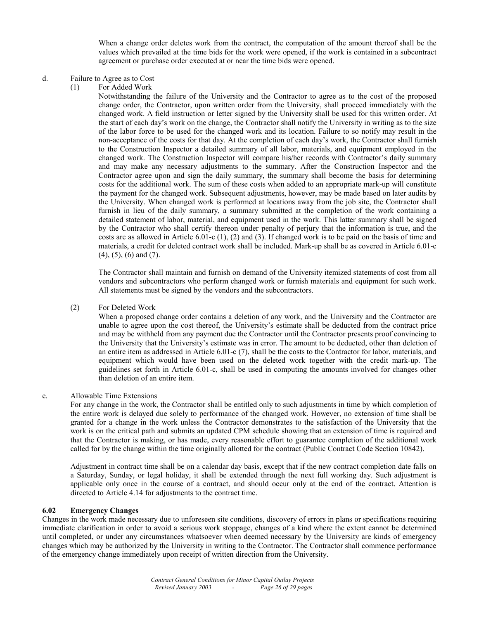When a change order deletes work from the contract, the computation of the amount thereof shall be the values which prevailed at the time bids for the work were opened, if the work is contained in a subcontract agreement or purchase order executed at or near the time bids were opened.

#### d. Failure to Agree as to Cost

(1) For Added Work

 Notwithstanding the failure of the University and the Contractor to agree as to the cost of the proposed change order, the Contractor, upon written order from the University, shall proceed immediately with the changed work. A field instruction or letter signed by the University shall be used for this written order. At the start of each day's work on the change, the Contractor shall notify the University in writing as to the size of the labor force to be used for the changed work and its location. Failure to so notify may result in the non-acceptance of the costs for that day. At the completion of each day's work, the Contractor shall furnish to the Construction Inspector a detailed summary of all labor, materials, and equipment employed in the changed work. The Construction Inspector will compare his/her records with Contractor's daily summary and may make any necessary adjustments to the summary. After the Construction Inspector and the Contractor agree upon and sign the daily summary, the summary shall become the basis for determining costs for the additional work. The sum of these costs when added to an appropriate mark-up will constitute the payment for the changed work. Subsequent adjustments, however, may be made based on later audits by the University. When changed work is performed at locations away from the job site, the Contractor shall furnish in lieu of the daily summary, a summary submitted at the completion of the work containing a detailed statement of labor, material, and equipment used in the work. This latter summary shall be signed by the Contractor who shall certify thereon under penalty of perjury that the information is true, and the costs are as allowed in Article  $6.01-c(1)$ , (2) and (3). If changed work is to be paid on the basis of time and materials, a credit for deleted contract work shall be included. Mark-up shall be as covered in Article 6.01-c (4), (5), (6) and (7).

 The Contractor shall maintain and furnish on demand of the University itemized statements of cost from all vendors and subcontractors who perform changed work or furnish materials and equipment for such work. All statements must be signed by the vendors and the subcontractors.

(2) For Deleted Work

 When a proposed change order contains a deletion of any work, and the University and the Contractor are unable to agree upon the cost thereof, the University's estimate shall be deducted from the contract price and may be withheld from any payment due the Contractor until the Contractor presents proof convincing to the University that the University's estimate was in error. The amount to be deducted, other than deletion of an entire item as addressed in Article 6.01-c (7), shall be the costs to the Contractor for labor, materials, and equipment which would have been used on the deleted work together with the credit mark-up. The guidelines set forth in Article 6.01-c, shall be used in computing the amounts involved for changes other than deletion of an entire item.

#### e. Allowable Time Extensions

 For any change in the work, the Contractor shall be entitled only to such adjustments in time by which completion of the entire work is delayed due solely to performance of the changed work. However, no extension of time shall be granted for a change in the work unless the Contractor demonstrates to the satisfaction of the University that the work is on the critical path and submits an updated CPM schedule showing that an extension of time is required and that the Contractor is making, or has made, every reasonable effort to guarantee completion of the additional work called for by the change within the time originally allotted for the contract (Public Contract Code Section 10842).

 Adjustment in contract time shall be on a calendar day basis, except that if the new contract completion date falls on a Saturday, Sunday, or legal holiday, it shall be extended through the next full working day. Such adjustment is applicable only once in the course of a contract, and should occur only at the end of the contract. Attention is directed to Article 4.14 for adjustments to the contract time.

#### **6.02 Emergency Changes**

Changes in the work made necessary due to unforeseen site conditions, discovery of errors in plans or specifications requiring immediate clarification in order to avoid a serious work stoppage, changes of a kind where the extent cannot be determined until completed, or under any circumstances whatsoever when deemed necessary by the University are kinds of emergency changes which may be authorized by the University in writing to the Contractor. The Contractor shall commence performance of the emergency change immediately upon receipt of written direction from the University.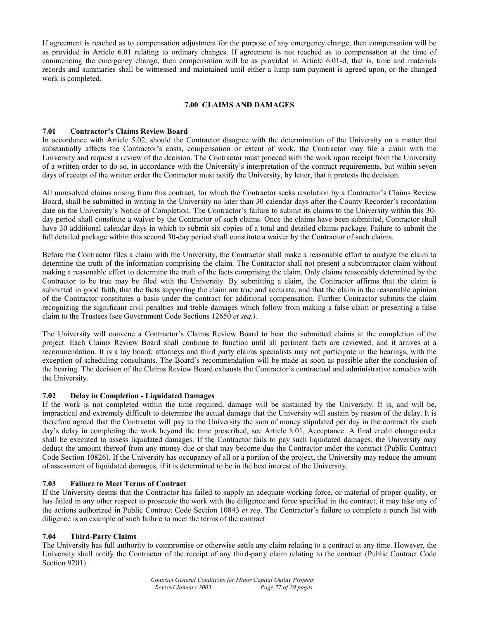If agreement is reached as to compensation adjustment for the purpose of any emergency change, then compensation will be as provided in Article 6.01 relating to ordinary changes. If agreement is not reached as to compensation at the time of commencing the emergency change, then compensation will be as provided in Article 6.01-d, that is, time and materials records and summaries shall be witnessed and maintained until either a lump sum payment is agreed upon, or the changed work is completed.

# **7.00 CLAIMS AND DAMAGES**

# **7.01 Contractor's Claims Review Board**

In accordance with Article 5.02, should the Contractor disagree with the determination of the University on a matter that substantially affects the Contractor's costs, compensation or extent of work, the Contractor may file a claim with the University and request a review of the decision. The Contractor must proceed with the work upon receipt from the University of a written order to do so, in accordance with the University's interpretation of the contract requirements, but within seven days of receipt of the written order the Contractor must notify the University, by letter, that it protests the decision.

All unresolved claims arising from this contract, for which the Contractor seeks resolution by a Contractor's Claims Review Board, shall be submitted in writing to the University no later than 30 calendar days after the County Recorder's recordation date on the University's Notice of Completion. The Contractor's failure to submit its claims to the University within this 30 day period shall constitute a waiver by the Contractor of such claims. Once the claims have been submitted, Contractor shall have 30 additional calendar days in which to submit six copies of a total and detailed claims package. Failure to submit the full detailed package within this second 30-day period shall constitute a waiver by the Contractor of such claims.

Before the Contractor files a claim with the University, the Contractor shall make a reasonable effort to analyze the claim to determine the truth of the information comprising the claim. The Contractor shall not present a subcontractor claim without making a reasonable effort to determine the truth of the facts comprising the claim. Only claims reasonably determined by the Contractor to be true may be filed with the University. By submitting a claim, the Contractor affirms that the claim is submitted in good faith, that the facts supporting the claim are true and accurate, and that the claim in the reasonable opinion of the Contractor constitutes a basis under the contract for additional compensation. Further Contractor submits the claim recognizing the significant civil penalties and treble damages which follow from making a false claim or presenting a false claim to the Trustees (see Government Code Sections 12650 *et seq.).* 

The University will convene a Contractor's Claims Review Board to hear the submitted claims at the completion of the project. Each Claims Review Board shall continue to function until all pertinent facts are reviewed, and it arrives at a recommendation. It is a lay board; attorneys and third party claims specialists may not participate in the hearings, with the exception of scheduling consultants. The Board's recommendation will be made as soon as possible after the conclusion of the hearing. The decision of the Claims Review Board exhausts the Contractor's contractual and administrative remedies with the University.

#### **7.02 Delay in Completion - Liquidated Damages**

If the work is not completed within the time required, damage will be sustained by the University. It is, and will be, impractical and extremely difficult to determine the actual damage that the University will sustain by reason of the delay. It is therefore agreed that the Contractor will pay to the University the sum of money stipulated per day in the contract for each day's delay in completing the work beyond the time prescribed, see Article 8.01, Acceptance. A final credit change order shall be executed to assess liquidated damages. If the Contractor fails to pay such liquidated damages, the University may deduct the amount thereof from any money due or that may become due the Contractor under the contract (Public Contract Code Section 10826). If the University has occupancy of all or a portion of the project, the University may reduce the amount of assessment of liquidated damages, if it is determined to be in the best interest of the University.

# **7.03 Failure to Meet Terms of Contract**

If the University deems that the Contractor has failed to supply an adequate working force, or material of proper quality, or has failed in any other respect to prosecute the work with the diligence and force specified in the contract, it may take any of the actions authorized in Public Contract Code Section 10843 *et seq*. The Contractor's failure to complete a punch list with diligence is an example of such failure to meet the terms of the contract.

# **7.04 Third-Party Claims**

The University has full authority to compromise or otherwise settle any claim relating to a contract at any time. However, the University shall notify the Contractor of the receipt of any third-party claim relating to the contract (Public Contract Code Section 9201).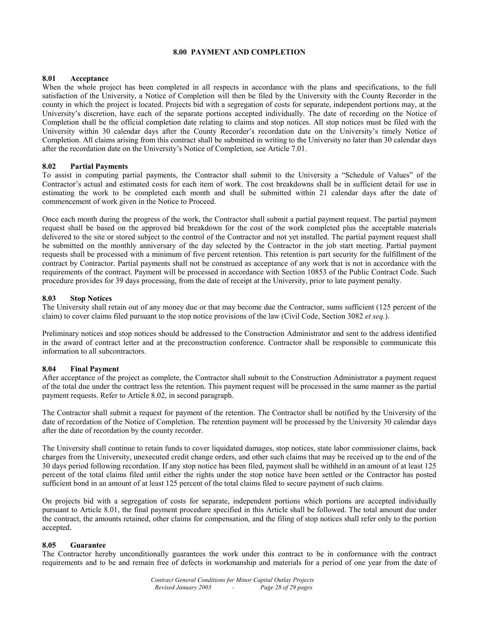#### **8.00 PAYMENT AND COMPLETION**

#### **8.01 Acceptance**

When the whole project has been completed in all respects in accordance with the plans and specifications, to the full satisfaction of the University, a Notice of Completion will then be filed by the University with the County Recorder in the county in which the project is located. Projects bid with a segregation of costs for separate, independent portions may, at the University's discretion, have each of the separate portions accepted individually. The date of recording on the Notice of Completion shall be the official completion date relating to claims and stop notices. All stop notices must be filed with the University within 30 calendar days after the County Recorder's recordation date on the University's timely Notice of Completion. All claims arising from this contract shall be submitted in writing to the University no later than 30 calendar days after the recordation date on the University's Notice of Completion, see Article 7.01.

#### **8.02 Partial Payments**

To assist in computing partial payments, the Contractor shall submit to the University a "Schedule of Values" of the Contractor's actual and estimated costs for each item of work. The cost breakdowns shall be in sufficient detail for use in estimating the work to be completed each month and shall be submitted within 21 calendar days after the date of commencement of work given in the Notice to Proceed.

Once each month during the progress of the work, the Contractor shall submit a partial payment request. The partial payment request shall be based on the approved bid breakdown for the cost of the work completed plus the acceptable materials delivered to the site or stored subject to the control of the Contractor and not yet installed. The partial payment request shall be submitted on the monthly anniversary of the day selected by the Contractor in the job start meeting. Partial payment requests shall be processed with a minimum of five percent retention. This retention is part security for the fulfillment of the contract by Contractor. Partial payments shall not be construed as acceptance of any work that is not in accordance with the requirements of the contract. Payment will be processed in accordance with Section 10853 of the Public Contract Code. Such procedure provides for 39 days processing, from the date of receipt at the University, prior to late payment penalty.

#### **8.03 Stop Notices**

The University shall retain out of any money due or that may become due the Contractor, sums sufficient (125 percent of the claim) to cover claims filed pursuant to the stop notice provisions of the law (Civil Code, Section 3082 *et seq.*).

Preliminary notices and stop notices should be addressed to the Construction Administrator and sent to the address identified in the award of contract letter and at the preconstruction conference. Contractor shall be responsible to communicate this information to all subcontractors.

#### **8.04 Final Payment**

After acceptance of the project as complete, the Contractor shall submit to the Construction Administrator a payment request of the total due under the contract less the retention. This payment request will be processed in the same manner as the partial payment requests. Refer to Article 8.02, in second paragraph.

The Contractor shall submit a request for payment of the retention. The Contractor shall be notified by the University of the date of recordation of the Notice of Completion. The retention payment will be processed by the University 30 calendar days after the date of recordation by the county recorder.

The University shall continue to retain funds to cover liquidated damages, stop notices, state labor commissioner claims, back charges from the University, unexecuted credit change orders, and other such claims that may be received up to the end of the 30 days period following recordation. If any stop notice has been filed, payment shall be withheld in an amount of at least 125 percent of the total claims filed until either the rights under the stop notice have been settled or the Contractor has posted sufficient bond in an amount of at least 125 percent of the total claims filed to secure payment of such claims.

On projects bid with a segregation of costs for separate, independent portions which portions are accepted individually pursuant to Article 8.01, the final payment procedure specified in this Article shall be followed. The total amount due under the contract, the amounts retained, other claims for compensation, and the filing of stop notices shall refer only to the portion accepted.

#### **8.05 Guarantee**

The Contractor hereby unconditionally guarantees the work under this contract to be in conformance with the contract requirements and to be and remain free of defects in workmanship and materials for a period of one year from the date of